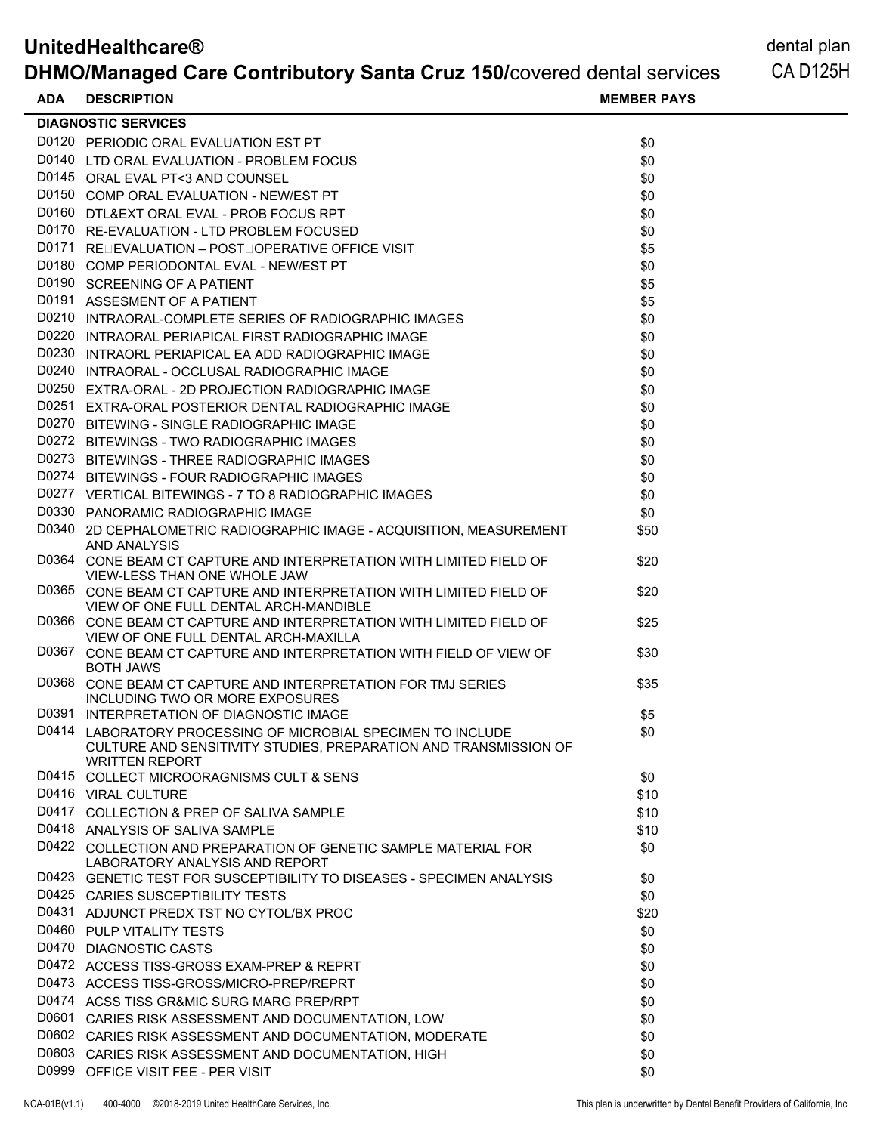| <b>UnitedHealthcare®</b><br><b>DHMO/Managed Care Contributory Santa Cruz 150/covered dental services</b> |                                                                                                                                                           |                    | dental plan<br>CA D <sub>125</sub> H |
|----------------------------------------------------------------------------------------------------------|-----------------------------------------------------------------------------------------------------------------------------------------------------------|--------------------|--------------------------------------|
| <b>ADA</b>                                                                                               | <b>DESCRIPTION</b>                                                                                                                                        | <b>MEMBER PAYS</b> |                                      |
|                                                                                                          | <b>DIAGNOSTIC SERVICES</b>                                                                                                                                |                    |                                      |
|                                                                                                          | D0120 PERIODIC ORAL EVALUATION EST PT                                                                                                                     | \$0                |                                      |
|                                                                                                          | D0140 LTD ORAL EVALUATION - PROBLEM FOCUS                                                                                                                 | \$0                |                                      |
|                                                                                                          | D0145 ORAL EVAL PT<3 AND COUNSEL                                                                                                                          | \$0                |                                      |
|                                                                                                          | D0150 COMP ORAL EVALUATION - NEW/EST PT                                                                                                                   | \$0                |                                      |
|                                                                                                          | D0160 DTL&EXT ORAL EVAL - PROB FOCUS RPT                                                                                                                  | \$0                |                                      |
|                                                                                                          | D0170 RE-EVALUATION - LTD PROBLEM FOCUSED                                                                                                                 | \$0                |                                      |
|                                                                                                          | D0171 REDEVALUATION - POST DOPERATIVE OFFICE VISIT                                                                                                        | \$5                |                                      |
|                                                                                                          | D0180 COMP PERIODONTAL EVAL - NEW/EST PT                                                                                                                  | \$0                |                                      |
|                                                                                                          | D0190 SCREENING OF A PATIENT                                                                                                                              | \$5                |                                      |
|                                                                                                          | D0191 ASSESMENT OF A PATIENT                                                                                                                              | \$5                |                                      |
|                                                                                                          | D0210 INTRAORAL-COMPLETE SERIES OF RADIOGRAPHIC IMAGES                                                                                                    | \$0                |                                      |
|                                                                                                          | D0220 INTRAORAL PERIAPICAL FIRST RADIOGRAPHIC IMAGE                                                                                                       | \$0                |                                      |
|                                                                                                          | D0230 INTRAORL PERIAPICAL EA ADD RADIOGRAPHIC IMAGE                                                                                                       | \$0                |                                      |
|                                                                                                          | D0240 INTRAORAL - OCCLUSAL RADIOGRAPHIC IMAGE                                                                                                             | \$0                |                                      |
|                                                                                                          | D0250 EXTRA-ORAL - 2D PROJECTION RADIOGRAPHIC IMAGE                                                                                                       | \$0                |                                      |
|                                                                                                          | D0251 EXTRA-ORAL POSTERIOR DENTAL RADIOGRAPHIC IMAGE                                                                                                      | \$0                |                                      |
|                                                                                                          | D0270 BITEWING - SINGLE RADIOGRAPHIC IMAGE                                                                                                                | \$0                |                                      |
|                                                                                                          | D0272 BITEWINGS - TWO RADIOGRAPHIC IMAGES                                                                                                                 | \$0                |                                      |
|                                                                                                          | D0273 BITEWINGS - THREE RADIOGRAPHIC IMAGES                                                                                                               | \$0                |                                      |
|                                                                                                          | D0274 BITEWINGS - FOUR RADIOGRAPHIC IMAGES                                                                                                                |                    |                                      |
|                                                                                                          |                                                                                                                                                           | \$0                |                                      |
|                                                                                                          | D0277 VERTICAL BITEWINGS - 7 TO 8 RADIOGRAPHIC IMAGES                                                                                                     | \$0                |                                      |
|                                                                                                          | D0330 PANORAMIC RADIOGRAPHIC IMAGE                                                                                                                        | \$0                |                                      |
|                                                                                                          | D0340 2D CEPHALOMETRIC RADIOGRAPHIC IMAGE - ACQUISITION, MEASUREMENT<br><b>AND ANALYSIS</b>                                                               | \$50               |                                      |
|                                                                                                          | D0364 CONE BEAM CT CAPTURE AND INTERPRETATION WITH LIMITED FIELD OF<br>VIEW-LESS THAN ONE WHOLE JAW                                                       | \$20               |                                      |
|                                                                                                          | D0365 CONE BEAM CT CAPTURE AND INTERPRETATION WITH LIMITED FIELD OF<br>VIEW OF ONE FULL DENTAL ARCH-MANDIBLE                                              | \$20               |                                      |
|                                                                                                          | D0366 CONE BEAM CT CAPTURE AND INTERPRETATION WITH LIMITED FIELD OF<br>VIEW OF ONE FULL DENTAL ARCH-MAXILLA                                               | \$25               |                                      |
|                                                                                                          | D0367 CONE BEAM CT CAPTURE AND INTERPRETATION WITH FIELD OF VIEW OF<br><b>BOTH JAWS</b>                                                                   | \$30               |                                      |
|                                                                                                          | D0368 CONE BEAM CT CAPTURE AND INTERPRETATION FOR TMJ SERIES<br>INCLUDING TWO OR MORE EXPOSURES                                                           | \$35               |                                      |
|                                                                                                          | D0391 INTERPRETATION OF DIAGNOSTIC IMAGE                                                                                                                  | \$5                |                                      |
|                                                                                                          | D0414 LABORATORY PROCESSING OF MICROBIAL SPECIMEN TO INCLUDE<br>CULTURE AND SENSITIVITY STUDIES, PREPARATION AND TRANSMISSION OF<br><b>WRITTEN REPORT</b> | \$0                |                                      |
|                                                                                                          | D0415 COLLECT MICROORAGNISMS CULT & SENS                                                                                                                  | \$0                |                                      |
|                                                                                                          | D0416 VIRAL CULTURE                                                                                                                                       | \$10               |                                      |
|                                                                                                          | D0417 COLLECTION & PREP OF SALIVA SAMPLE                                                                                                                  | \$10               |                                      |
|                                                                                                          | D0418 ANALYSIS OF SALIVA SAMPLE                                                                                                                           | \$10               |                                      |
|                                                                                                          | D0422 COLLECTION AND PREPARATION OF GENETIC SAMPLE MATERIAL FOR<br>LABORATORY ANALYSIS AND REPORT                                                         | \$0                |                                      |
|                                                                                                          | D0423 GENETIC TEST FOR SUSCEPTIBILITY TO DISEASES - SPECIMEN ANALYSIS                                                                                     | \$0                |                                      |
|                                                                                                          | D0425 CARIES SUSCEPTIBILITY TESTS                                                                                                                         | \$0                |                                      |
|                                                                                                          | D0431 ADJUNCT PREDX TST NO CYTOL/BX PROC                                                                                                                  | \$20               |                                      |
|                                                                                                          | D0460 PULP VITALITY TESTS                                                                                                                                 | \$0                |                                      |
|                                                                                                          | D0470 DIAGNOSTIC CASTS                                                                                                                                    | \$0                |                                      |
|                                                                                                          | D0472 ACCESS TISS-GROSS EXAM-PREP & REPRT                                                                                                                 | \$0                |                                      |
|                                                                                                          | D0473 ACCESS TISS-GROSS/MICRO-PREP/REPRT                                                                                                                  | \$0                |                                      |
|                                                                                                          | D0474 ACSS TISS GR&MIC SURG MARG PREP/RPT                                                                                                                 | \$0                |                                      |
|                                                                                                          | D0601 CARIES RISK ASSESSMENT AND DOCUMENTATION, LOW                                                                                                       | \$0                |                                      |
|                                                                                                          | D0602 CARIES RISK ASSESSMENT AND DOCUMENTATION, MODERATE                                                                                                  | \$0                |                                      |
|                                                                                                          | D0603 CARIES RISK ASSESSMENT AND DOCUMENTATION, HIGH                                                                                                      | \$0                |                                      |
|                                                                                                          | D0999 OFFICE VISIT FEE - PER VISIT                                                                                                                        | \$0                |                                      |
|                                                                                                          |                                                                                                                                                           |                    |                                      |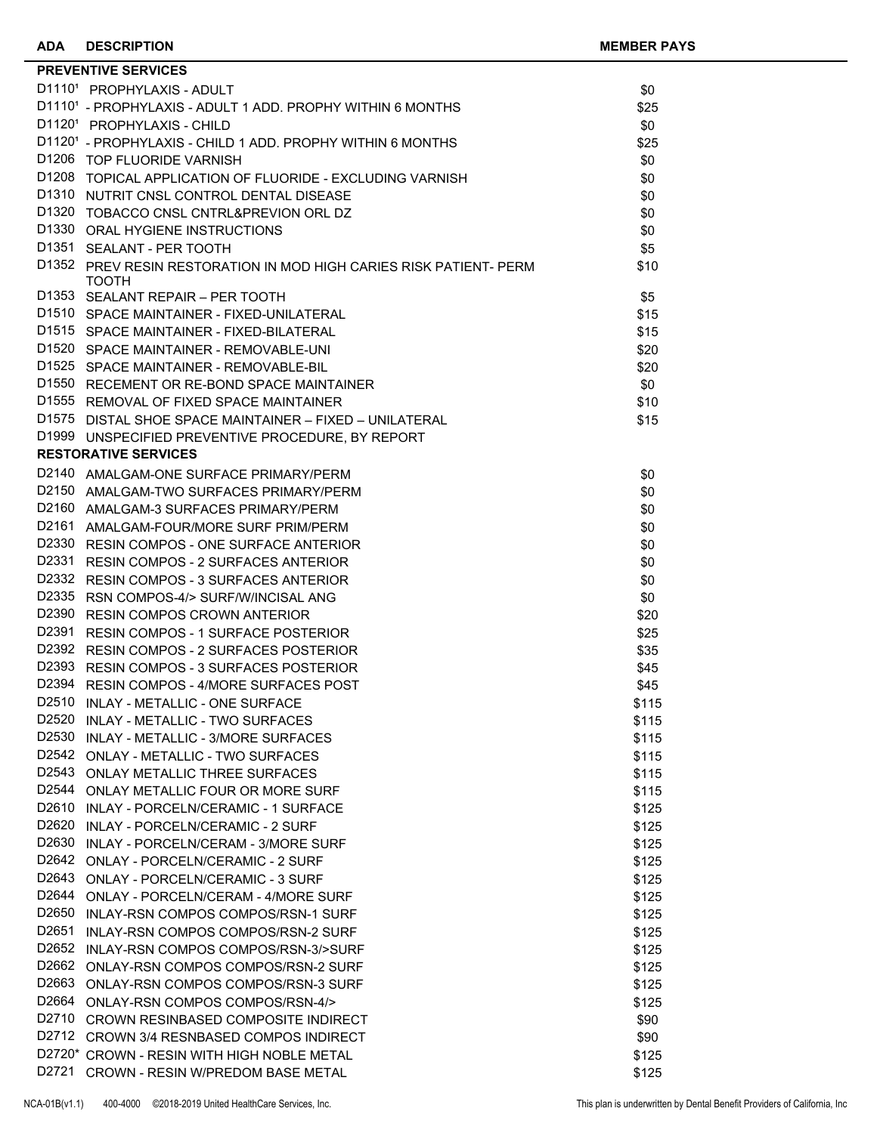|       | <b>PREVENTIVE SERVICES</b>                                                   |                |
|-------|------------------------------------------------------------------------------|----------------|
|       | D11101 PROPHYLAXIS - ADULT                                                   | \$0            |
|       | D11101 - PROPHYLAXIS - ADULT 1 ADD. PROPHY WITHIN 6 MONTHS                   | \$25           |
|       | D11201 PROPHYLAXIS - CHILD                                                   | \$0            |
|       | D11201 - PROPHYLAXIS - CHILD 1 ADD. PROPHY WITHIN 6 MONTHS                   | \$25           |
|       | D1206 TOP FLUORIDE VARNISH                                                   | \$0            |
|       | D1208 TOPICAL APPLICATION OF FLUORIDE - EXCLUDING VARNISH                    | \$0            |
|       | D1310 NUTRIT CNSL CONTROL DENTAL DISEASE                                     | \$0            |
|       | D1320 TOBACCO CNSL CNTRL&PREVION ORL DZ                                      | \$0            |
|       | D1330 ORAL HYGIENE INSTRUCTIONS                                              | \$0            |
|       | D1351 SEALANT - PER TOOTH                                                    | \$5            |
|       | D1352 PREV RESIN RESTORATION IN MOD HIGH CARIES RISK PATIENT- PERM<br>тоотн  | \$10           |
|       | D1353 SEALANT REPAIR - PER TOOTH                                             | \$5            |
|       | D1510 SPACE MAINTAINER - FIXED-UNILATERAL                                    | \$15           |
|       | D1515 SPACE MAINTAINER - FIXED-BILATERAL                                     | \$15           |
|       | D1520 SPACE MAINTAINER - REMOVABLE-UNI                                       | \$20           |
|       | D1525 SPACE MAINTAINER - REMOVABLE-BIL                                       | \$20           |
|       | D1550 RECEMENT OR RE-BOND SPACE MAINTAINER                                   | \$0            |
|       | D1555 REMOVAL OF FIXED SPACE MAINTAINER                                      | \$10           |
|       | D1575 DISTAL SHOE SPACE MAINTAINER - FIXED - UNILATERAL                      | \$15           |
|       | D1999 UNSPECIFIED PREVENTIVE PROCEDURE, BY REPORT                            |                |
|       | <b>RESTORATIVE SERVICES</b>                                                  |                |
|       | D2140 AMALGAM-ONE SURFACE PRIMARY/PERM                                       | \$0            |
|       | D2150 AMALGAM-TWO SURFACES PRIMARY/PERM                                      | \$0            |
|       | D2160 AMALGAM-3 SURFACES PRIMARY/PERM                                        | \$0            |
|       | D2161 AMALGAM-FOUR/MORE SURF PRIM/PERM                                       | \$0            |
|       | D2330 RESIN COMPOS - ONE SURFACE ANTERIOR                                    | \$0            |
|       | D2331 RESIN COMPOS - 2 SURFACES ANTERIOR                                     | \$0            |
|       | D2332 RESIN COMPOS - 3 SURFACES ANTERIOR                                     | \$0            |
|       | D2335 RSN COMPOS-4/> SURF/W/INCISAL ANG                                      | \$0            |
|       | D2390 RESIN COMPOS CROWN ANTERIOR                                            | \$20           |
|       | D2391 RESIN COMPOS - 1 SURFACE POSTERIOR                                     | \$25           |
|       | D2392 RESIN COMPOS - 2 SURFACES POSTERIOR                                    | \$35           |
|       | D2393 RESIN COMPOS - 3 SURFACES POSTERIOR                                    | \$45           |
|       | D2394 RESIN COMPOS - 4/MORE SURFACES POST                                    | \$45           |
|       | D2510 INLAY - METALLIC - ONE SURFACE                                         | \$115          |
| D2530 | D2520 INLAY - METALLIC - TWO SURFACES                                        | \$115          |
|       | INLAY - METALLIC - 3/MORE SURFACES                                           | \$115          |
|       | D2542 ONLAY - METALLIC - TWO SURFACES<br>D2543 ONLAY METALLIC THREE SURFACES | \$115          |
|       | D2544 ONLAY METALLIC FOUR OR MORE SURF                                       | \$115<br>\$115 |
|       | D2610 INLAY - PORCELN/CERAMIC - 1 SURFACE                                    | \$125          |
|       | D2620 INLAY - PORCELN/CERAMIC - 2 SURF                                       | \$125          |
|       | D2630 INLAY - PORCELN/CERAM - 3/MORE SURF                                    | \$125          |
|       | D2642 ONLAY - PORCELN/CERAMIC - 2 SURF                                       | \$125          |
|       | D2643 ONLAY - PORCELN/CERAMIC - 3 SURF                                       | \$125          |
|       | D2644 ONLAY - PORCELN/CERAM - 4/MORE SURF                                    | \$125          |
|       | D2650 INLAY-RSN COMPOS COMPOS/RSN-1 SURF                                     | \$125          |
| D2651 | INLAY-RSN COMPOS COMPOS/RSN-2 SURF                                           | \$125          |
|       | D2652 INLAY-RSN COMPOS COMPOS/RSN-3/>SURF                                    | \$125          |
|       | D2662 ONLAY-RSN COMPOS COMPOS/RSN-2 SURF                                     | \$125          |
|       | D2663 ONLAY-RSN COMPOS COMPOS/RSN-3 SURF                                     | \$125          |
|       | D2664 ONLAY-RSN COMPOS COMPOS/RSN-4/>                                        | \$125          |
|       | D2710 CROWN RESINBASED COMPOSITE INDIRECT                                    | \$90           |
|       | D2712 CROWN 3/4 RESNBASED COMPOS INDIRECT                                    | \$90           |
|       | D2720* CROWN - RESIN WITH HIGH NOBLE METAL                                   | \$125          |
|       | D2721 CROWN - RESIN W/PREDOM BASE METAL                                      | \$125          |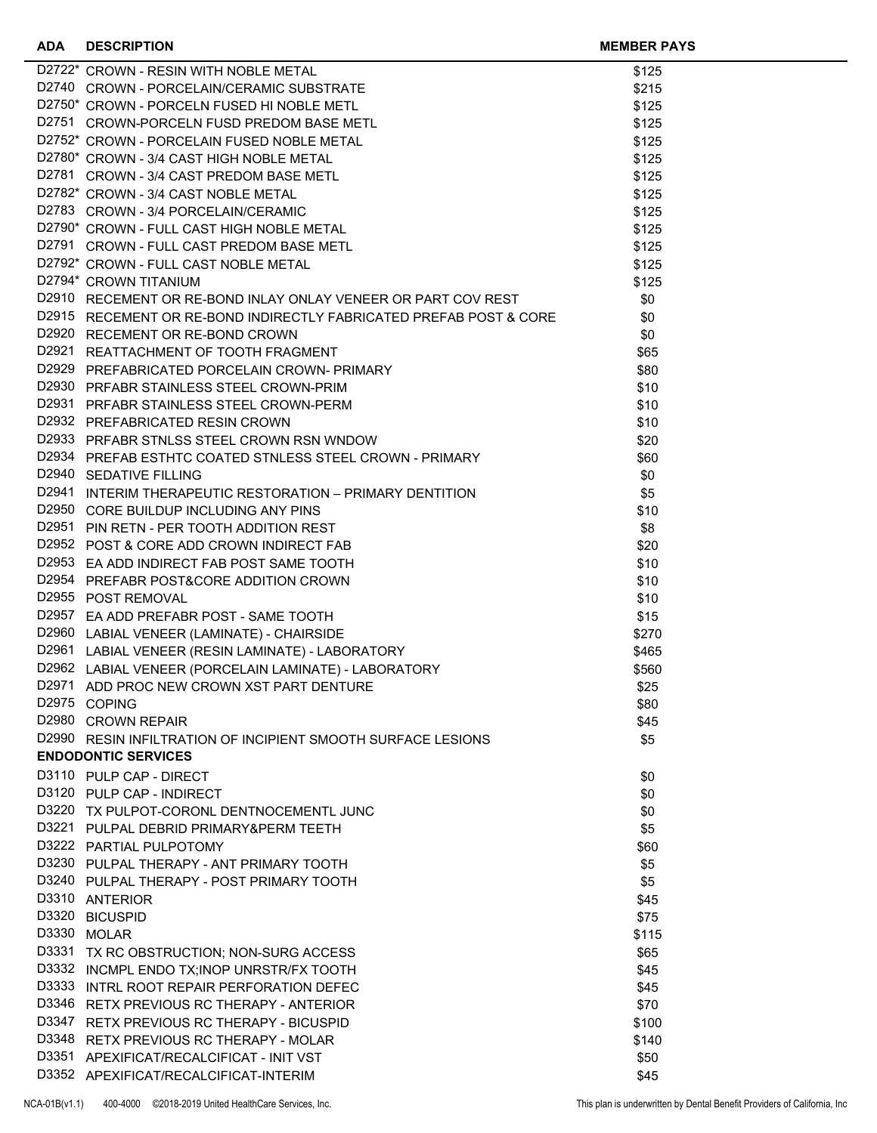| D2722* CROWN - RESIN WITH NOBLE METAL<br>D2722* CROWN - RESIN WITH NOBLE METAL<br>D2722* CROWN - PORCELAIN/CERAMIC SUBSTRATE<br>D2750* CROWN - PORCELN FUSED HI NOBLE METL<br>D2751 CROWN-PORCELN FUSD PREDOM BASE METL<br>D2752* CROWN - 3/4 CAST HIGH NOBLE METAL<br>D2780* CROWN - | \$125 |  |
|---------------------------------------------------------------------------------------------------------------------------------------------------------------------------------------------------------------------------------------------------------------------------------------|-------|--|
|                                                                                                                                                                                                                                                                                       | \$215 |  |
|                                                                                                                                                                                                                                                                                       | \$125 |  |
|                                                                                                                                                                                                                                                                                       | \$125 |  |
|                                                                                                                                                                                                                                                                                       | \$125 |  |
|                                                                                                                                                                                                                                                                                       | \$125 |  |
|                                                                                                                                                                                                                                                                                       | \$125 |  |
|                                                                                                                                                                                                                                                                                       | \$125 |  |
|                                                                                                                                                                                                                                                                                       | \$125 |  |
|                                                                                                                                                                                                                                                                                       |       |  |
|                                                                                                                                                                                                                                                                                       | \$125 |  |
|                                                                                                                                                                                                                                                                                       | \$125 |  |
|                                                                                                                                                                                                                                                                                       | \$125 |  |
| D2794* CROWN TITANIUM                                                                                                                                                                                                                                                                 | \$125 |  |
| D2910 RECEMENT OR RE-BOND INLAY ONLAY VENEER OR PART COV REST                                                                                                                                                                                                                         | \$0   |  |
| D2915 RECEMENT OR RE-BOND INDIRECTLY FABRICATED PREFAB POST & CORE                                                                                                                                                                                                                    | \$0   |  |
| D2920 RECEMENT OR RE-BOND CROWN                                                                                                                                                                                                                                                       | \$0   |  |
| D2921 REATTACHMENT OF TOOTH FRAGMENT<br>D2929 PREFABRICATED PORCELAIN CROWN- PRIMARY<br>D2930 PREFABR STAINLESS STEEL CROWN-PRIM<br>D2931 PRFABR STAINLESS STEEL CROWN-PERM<br>D2932 PREFABRICATED RESIN CROWN<br>D2932 PREFABRICATED RESIN C                                         | \$65  |  |
|                                                                                                                                                                                                                                                                                       | \$80  |  |
|                                                                                                                                                                                                                                                                                       | \$10  |  |
|                                                                                                                                                                                                                                                                                       | \$10  |  |
|                                                                                                                                                                                                                                                                                       | \$10  |  |
|                                                                                                                                                                                                                                                                                       | \$20  |  |
|                                                                                                                                                                                                                                                                                       | \$60  |  |
| D2940 SEDATIVE FILLING                                                                                                                                                                                                                                                                | \$0   |  |
|                                                                                                                                                                                                                                                                                       | \$5   |  |
| D2941 INTERIM THERAPEUTIC RESTORATION – PRIMARY DENTITION<br>D2950 CORE BUILDUP INCLUDING ANY PINS                                                                                                                                                                                    | \$10  |  |
| D2951 PIN RETN - PER TOOTH ADDITION REST                                                                                                                                                                                                                                              | \$8   |  |
| D2952 POST & CORE ADD CROWN INDIRECT FAB                                                                                                                                                                                                                                              | \$20  |  |
| D2953 EA ADD INDIRECT FAB POST SAME TOOTH                                                                                                                                                                                                                                             | \$10  |  |
| D2954 PREFABR POST&CORE ADDITION CROWN                                                                                                                                                                                                                                                |       |  |
| D2955 POST REMOVAL                                                                                                                                                                                                                                                                    | \$10  |  |
|                                                                                                                                                                                                                                                                                       | \$10  |  |
| D2957 EA ADD PREFABR POST - SAME TOOTH                                                                                                                                                                                                                                                | \$15  |  |
| D2960 LABIAL VENEER (LAMINATE) - CHAIRSIDE                                                                                                                                                                                                                                            | \$270 |  |
| D2961 LABIAL VENEER (RESIN LAMINATE) - LABORATORY                                                                                                                                                                                                                                     | \$465 |  |
| D2962 LABIAL VENEER (PORCELAIN LAMINATE) - LABORATORY                                                                                                                                                                                                                                 | \$560 |  |
| D2971 ADD PROC NEW CROWN XST PART DENTURE                                                                                                                                                                                                                                             | \$25  |  |
| D2975 COPING                                                                                                                                                                                                                                                                          | \$80  |  |
| D2980 CROWN REPAIR                                                                                                                                                                                                                                                                    | \$45  |  |
| D2990 RESIN INFILTRATION OF INCIPIENT SMOOTH SURFACE LESIONS                                                                                                                                                                                                                          | \$5   |  |
| <b>ENDODONTIC SERVICES</b>                                                                                                                                                                                                                                                            |       |  |
| D3110 PULP CAP - DIRECT                                                                                                                                                                                                                                                               | \$0   |  |
| D3120 PULP CAP - INDIRECT                                                                                                                                                                                                                                                             | \$0   |  |
| D3220 TX PULPOT-CORONL DENTNOCEMENTL JUNC                                                                                                                                                                                                                                             | \$0   |  |
| D3221 PULPAL DEBRID PRIMARY&PERM TEETH                                                                                                                                                                                                                                                | \$5   |  |
| D3222 PARTIAL PULPOTOMY                                                                                                                                                                                                                                                               | \$60  |  |
| D3230 PULPAL THERAPY - ANT PRIMARY TOOTH                                                                                                                                                                                                                                              | \$5   |  |
| D3240 PULPAL THERAPY - POST PRIMARY TOOTH                                                                                                                                                                                                                                             | \$5   |  |
| D3310 ANTERIOR                                                                                                                                                                                                                                                                        | \$45  |  |
| D3320 BICUSPID                                                                                                                                                                                                                                                                        | \$75  |  |
| D3330 MOLAR                                                                                                                                                                                                                                                                           | \$115 |  |
| D3331 TX RC OBSTRUCTION; NON-SURG ACCESS                                                                                                                                                                                                                                              | \$65  |  |
| D3332 INCMPL ENDO TX; INOP UNRSTR/FX TOOTH                                                                                                                                                                                                                                            | \$45  |  |
| D3333 INTRL ROOT REPAIR PERFORATION DEFEC                                                                                                                                                                                                                                             | \$45  |  |
| D3346 RETX PREVIOUS RC THERAPY - ANTERIOR                                                                                                                                                                                                                                             | \$70  |  |
| D3347 RETX PREVIOUS RC THERAPY - BICUSPID                                                                                                                                                                                                                                             |       |  |
|                                                                                                                                                                                                                                                                                       | \$100 |  |
| D3348 RETX PREVIOUS RC THERAPY - MOLAR                                                                                                                                                                                                                                                | \$140 |  |
| D3351 APEXIFICAT/RECALCIFICAT - INIT VST                                                                                                                                                                                                                                              | \$50  |  |
| D3352 APEXIFICAT/RECALCIFICAT-INTERIM                                                                                                                                                                                                                                                 | \$45  |  |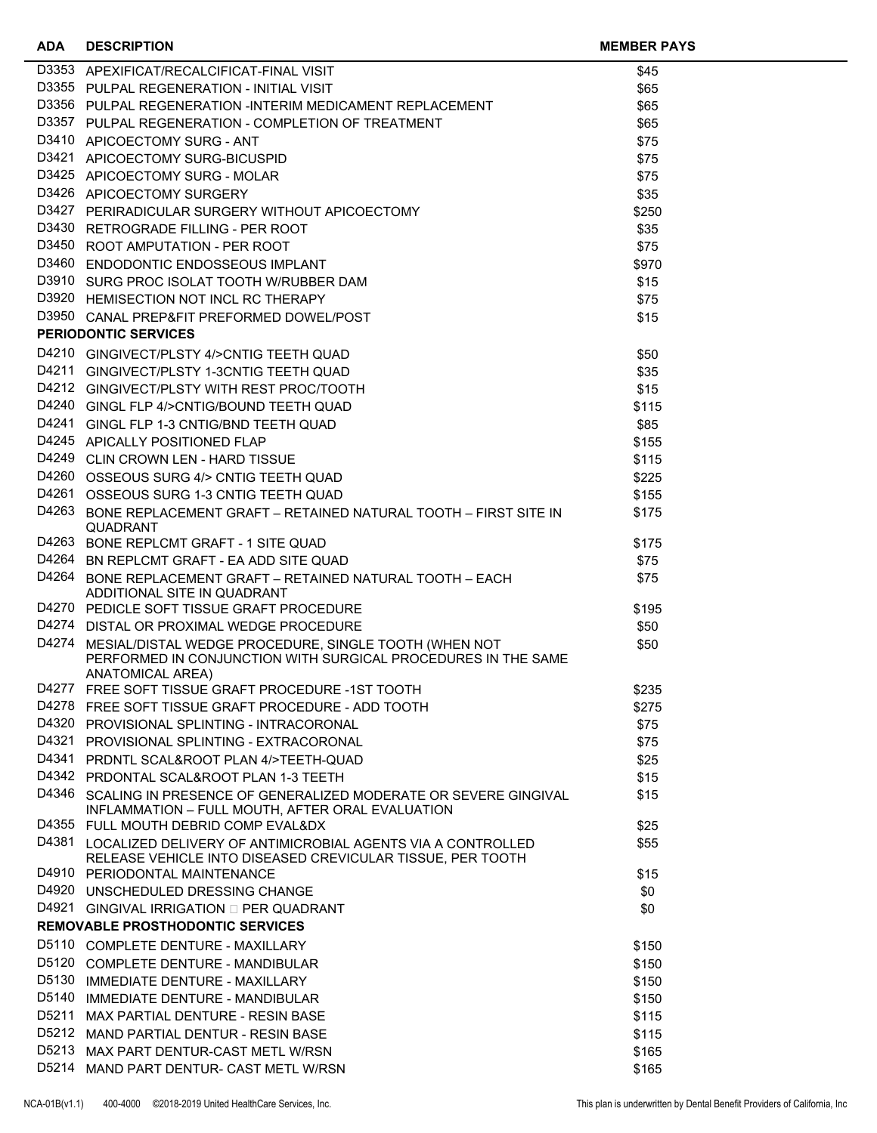| <b>ADA</b> | <b>DESCRIPTION</b>                                                                                                                                      | <b>MEMBER PAYS</b> |  |
|------------|---------------------------------------------------------------------------------------------------------------------------------------------------------|--------------------|--|
|            | D3353 APEXIFICAT/RECALCIFICAT-FINAL VISIT                                                                                                               | \$45               |  |
|            | D3355 PULPAL REGENERATION - INITIAL VISIT                                                                                                               | \$65               |  |
|            | D3356 PULPAL REGENERATION -INTERIM MEDICAMENT REPLACEMENT                                                                                               | \$65               |  |
|            | D3357 PULPAL REGENERATION - COMPLETION OF TREATMENT                                                                                                     | \$65               |  |
|            | D3410 APICOECTOMY SURG - ANT                                                                                                                            | \$75               |  |
|            | D3421 APICOECTOMY SURG-BICUSPID                                                                                                                         | \$75               |  |
|            | D3425 APICOECTOMY SURG - MOLAR                                                                                                                          | \$75               |  |
|            | D3426 APICOECTOMY SURGERY                                                                                                                               | \$35               |  |
|            | D3427 PERIRADICULAR SURGERY WITHOUT APICOECTOMY                                                                                                         | \$250              |  |
|            | D3430 RETROGRADE FILLING - PER ROOT                                                                                                                     | \$35               |  |
|            | D3450 ROOT AMPUTATION - PER ROOT                                                                                                                        | \$75               |  |
|            | D3460 ENDODONTIC ENDOSSEOUS IMPLANT                                                                                                                     | \$970              |  |
|            | D3910 SURG PROC ISOLAT TOOTH W/RUBBER DAM                                                                                                               | \$15               |  |
|            | D3920 HEMISECTION NOT INCL RC THERAPY                                                                                                                   | \$75               |  |
|            | D3950 CANAL PREP&FIT PREFORMED DOWEL/POST                                                                                                               | \$15               |  |
|            | <b>PERIODONTIC SERVICES</b>                                                                                                                             |                    |  |
|            | D4210 GINGIVECT/PLSTY 4/>CNTIG TEETH QUAD                                                                                                               | \$50               |  |
|            | D4211 GINGIVECT/PLSTY 1-3CNTIG TEETH QUAD                                                                                                               | \$35               |  |
|            | D4212 GINGIVECT/PLSTY WITH REST PROC/TOOTH                                                                                                              | \$15               |  |
|            | D4240 GINGL FLP 4/>CNTIG/BOUND TEETH QUAD                                                                                                               | \$115              |  |
|            | D4241 GINGL FLP 1-3 CNTIG/BND TEETH QUAD                                                                                                                | \$85               |  |
|            | D4245 APICALLY POSITIONED FLAP                                                                                                                          | \$155              |  |
|            | D4249 CLIN CROWN LEN - HARD TISSUE                                                                                                                      | \$115              |  |
|            | D4260 OSSEOUS SURG 4/> CNTIG TEETH QUAD                                                                                                                 | \$225              |  |
|            | D4261 OSSEOUS SURG 1-3 CNTIG TEETH QUAD                                                                                                                 | \$155              |  |
|            | D4263 BONE REPLACEMENT GRAFT - RETAINED NATURAL TOOTH - FIRST SITE IN<br><b>QUADRANT</b>                                                                | \$175              |  |
|            | D4263 BONE REPLCMT GRAFT - 1 SITE QUAD                                                                                                                  | \$175              |  |
|            | D4264 BN REPLCMT GRAFT - EA ADD SITE QUAD                                                                                                               | \$75               |  |
|            | D4264 BONE REPLACEMENT GRAFT - RETAINED NATURAL TOOTH - EACH<br>ADDITIONAL SITE IN QUADRANT                                                             | \$75               |  |
|            | D4270 PEDICLE SOFT TISSUE GRAFT PROCEDURE                                                                                                               | \$195              |  |
|            | D4274 DISTAL OR PROXIMAL WEDGE PROCEDURE                                                                                                                | \$50               |  |
|            | D4274 MESIAL/DISTAL WEDGE PROCEDURE, SINGLE TOOTH (WHEN NOT<br>PERFORMED IN CONJUNCTION WITH SURGICAL PROCEDURES IN THE SAME<br><b>ANATOMICAL AREA)</b> | \$50               |  |
|            | D4277 FREE SOFT TISSUE GRAFT PROCEDURE -1ST TOOTH                                                                                                       | \$235              |  |
|            | D4278 FREE SOFT TISSUE GRAFT PROCEDURE - ADD TOOTH                                                                                                      | \$275              |  |
|            | D4320 PROVISIONAL SPLINTING - INTRACORONAL                                                                                                              | \$75               |  |
|            | D4321 PROVISIONAL SPLINTING - EXTRACORONAL                                                                                                              | \$75               |  |
|            | D4341 PRDNTL SCAL&ROOT PLAN 4/>TEETH-QUAD                                                                                                               | \$25               |  |
|            | D4342 PRDONTAL SCAL&ROOT PLAN 1-3 TEETH                                                                                                                 | \$15               |  |
|            | D4346 SCALING IN PRESENCE OF GENERALIZED MODERATE OR SEVERE GINGIVAL<br>INFLAMMATION - FULL MOUTH, AFTER ORAL EVALUATION                                | \$15               |  |
|            | D4355 FULL MOUTH DEBRID COMP EVAL&DX                                                                                                                    | \$25               |  |
|            | D4381 LOCALIZED DELIVERY OF ANTIMICROBIAL AGENTS VIA A CONTROLLED<br>RELEASE VEHICLE INTO DISEASED CREVICULAR TISSUE, PER TOOTH                         | \$55               |  |
|            | D4910 PERIODONTAL MAINTENANCE                                                                                                                           | \$15               |  |
|            | D4920 UNSCHEDULED DRESSING CHANGE                                                                                                                       | \$0                |  |
|            | <b>D4921 GINGIVAL IRRIGATION □ PER QUADRANT</b>                                                                                                         | \$0                |  |
|            | <b>REMOVABLE PROSTHODONTIC SERVICES</b>                                                                                                                 |                    |  |
|            | D5110 COMPLETE DENTURE - MAXILLARY                                                                                                                      | \$150              |  |
|            | D5120 COMPLETE DENTURE - MANDIBULAR                                                                                                                     | \$150              |  |
|            | D5130 IMMEDIATE DENTURE - MAXILLARY                                                                                                                     | \$150              |  |
| D5140      | IMMEDIATE DENTURE - MANDIBULAR                                                                                                                          | \$150              |  |
| D5211      | MAX PARTIAL DENTURE - RESIN BASE                                                                                                                        | \$115              |  |
|            | D5212 MAND PARTIAL DENTUR - RESIN BASE                                                                                                                  | \$115              |  |
|            | D5213 MAX PART DENTUR-CAST METL W/RSN<br>D5214 MAND PART DENTUR- CAST METL W/RSN                                                                        | \$165              |  |
|            |                                                                                                                                                         | \$165              |  |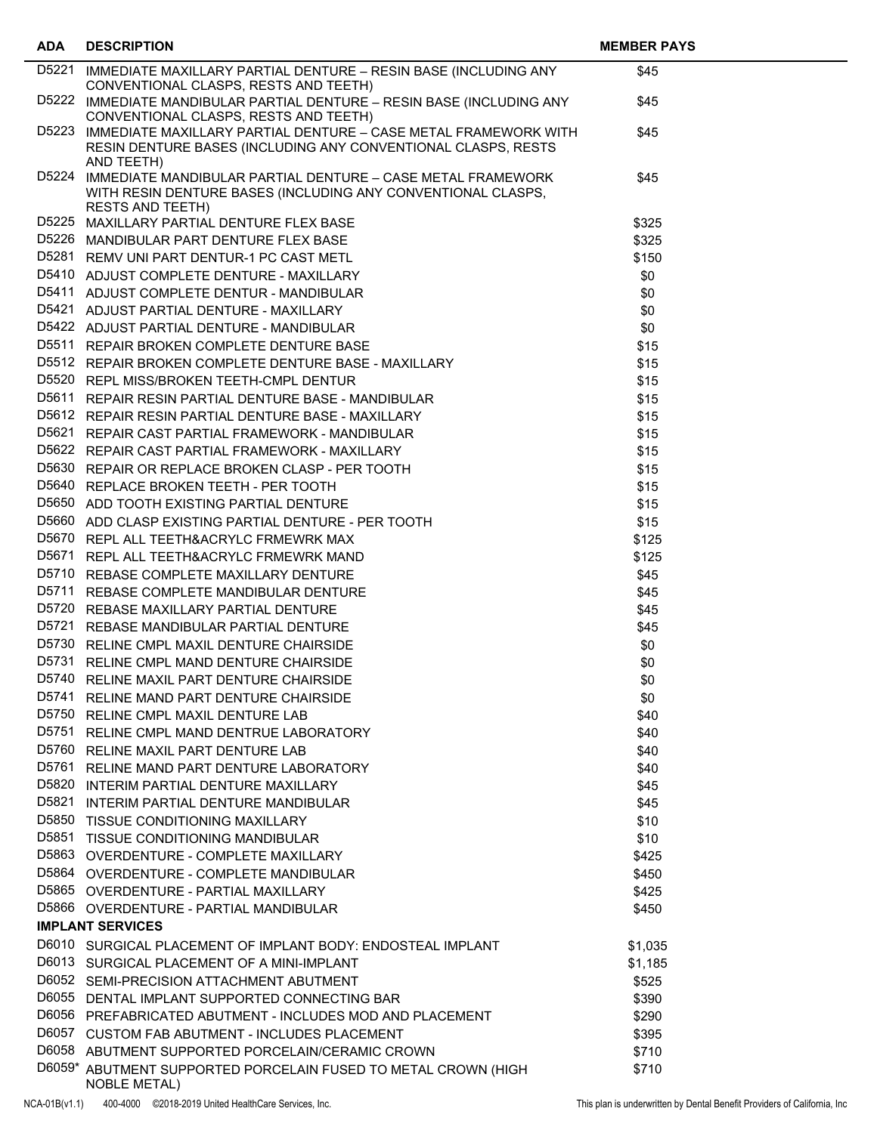| <b>ADA</b> | <b>DESCRIPTION</b>                                                                                                                                                                                                                       | <b>MEMBER PAYS</b> |  |
|------------|------------------------------------------------------------------------------------------------------------------------------------------------------------------------------------------------------------------------------------------|--------------------|--|
|            | D5221 IMMEDIATE MAXILLARY PARTIAL DENTURE - RESIN BASE (INCLUDING ANY                                                                                                                                                                    | \$45               |  |
|            | CONVENTIONAL CLASPS, RESTS AND TEETH)                                                                                                                                                                                                    |                    |  |
|            | D5222 IMMEDIATE MANDIBULAR PARTIAL DENTURE - RESIN BASE (INCLUDING ANY                                                                                                                                                                   | \$45               |  |
|            | CONVENTIONAL CLASPS, RESTS AND TEETH)<br>D5223 IMMEDIATE MAXILLARY PARTIAL DENTURE - CASE METAL FRAMEWORK WITH                                                                                                                           | \$45               |  |
|            | RESIN DENTURE BASES (INCLUDING ANY CONVENTIONAL CLASPS, RESTS                                                                                                                                                                            |                    |  |
|            | AND TEETH)                                                                                                                                                                                                                               |                    |  |
|            | D5224 IMMEDIATE MANDIBULAR PARTIAL DENTURE - CASE METAL FRAMEWORK                                                                                                                                                                        | \$45               |  |
|            | WITH RESIN DENTURE BASES (INCLUDING ANY CONVENTIONAL CLASPS,                                                                                                                                                                             |                    |  |
|            | <b>RESTS AND TEETH)</b>                                                                                                                                                                                                                  |                    |  |
|            | D5225 MAXILLARY PARTIAL DENTURE FLEX BASE<br>D5226 MANDIBULAR PART DENTURE FLEX BASE                                                                                                                                                     | \$325<br>\$325     |  |
|            | D5281 REMV UNI PART DENTUR-1 PC CAST METL                                                                                                                                                                                                | \$150              |  |
|            |                                                                                                                                                                                                                                          | \$0                |  |
|            | ENTRICATE CONTINUE - MAXILLARY<br>USB11 REPAIR BROKEN COMPLETE DENTURE BASE<br>D5512 REPAIR BROKEN COMPLETE DENTURE BASE<br>D5520 REPL MISS/BROKEN TEETH-CMPL DENTURE<br>D5520 REPL MISS/BROKEN TEETH-CMPL DENTUR<br>195611 REPAIR RESIN | \$0                |  |
|            |                                                                                                                                                                                                                                          | \$0                |  |
|            |                                                                                                                                                                                                                                          | \$0                |  |
|            |                                                                                                                                                                                                                                          | \$15               |  |
|            |                                                                                                                                                                                                                                          | \$15               |  |
|            |                                                                                                                                                                                                                                          | \$15               |  |
|            |                                                                                                                                                                                                                                          | \$15               |  |
|            |                                                                                                                                                                                                                                          | \$15               |  |
|            |                                                                                                                                                                                                                                          | \$15               |  |
|            | D5622 REPAIR CAST PARTIAL FRAMEWORK - MAXILLARY                                                                                                                                                                                          | \$15               |  |
|            | D5630 REPAIR OR REPLACE BROKEN CLASP - PER TOOTH                                                                                                                                                                                         | \$15               |  |
|            | D5640 REPLACE BROKEN TEETH - PER TOOTH                                                                                                                                                                                                   | \$15               |  |
|            | D5650 ADD TOOTH EXISTING PARTIAL DENTURE                                                                                                                                                                                                 | \$15               |  |
|            | D5660 ADD CLASP EXISTING PARTIAL DENTURE - PER TOOTH                                                                                                                                                                                     | \$15               |  |
|            | D5670 REPL ALL TEETH&ACRYLC FRMEWRK MAX                                                                                                                                                                                                  | \$125              |  |
|            | D5671 REPL ALL TEETH&ACRYLC FRMEWRK MAND                                                                                                                                                                                                 | \$125              |  |
|            | D5710 REBASE COMPLETE MAXILLARY DENTURE                                                                                                                                                                                                  | \$45               |  |
|            | D5711 REBASE COMPLETE MANDIBULAR DENTURE                                                                                                                                                                                                 | \$45               |  |
|            | D5720 REBASE MAXILLARY PARTIAL DENTURE                                                                                                                                                                                                   | \$45               |  |
|            | D5721 REBASE MANDIBULAR PARTIAL DENTURE                                                                                                                                                                                                  | \$45               |  |
|            | D5730 RELINE CMPL MAXIL DENTURE CHAIRSIDE                                                                                                                                                                                                | \$0                |  |
|            | D5731 RELINE CMPL MAND DENTURE CHAIRSIDE                                                                                                                                                                                                 | \$0                |  |
|            | D5740 RELINE MAXIL PART DENTURE CHAIRSIDE                                                                                                                                                                                                | \$0                |  |
|            | D5741 RELINE MAND PART DENTURE CHAIRSIDE                                                                                                                                                                                                 | \$0                |  |
|            | D5750 RELINE CMPL MAXIL DENTURE LAB                                                                                                                                                                                                      | \$40               |  |
|            | D5751 RELINE CMPL MAND DENTRUE LABORATORY                                                                                                                                                                                                | \$40               |  |
|            | D5760 RELINE MAXIL PART DENTURE LAB                                                                                                                                                                                                      | \$40               |  |
|            | D5761 RELINE MAND PART DENTURE LABORATORY                                                                                                                                                                                                | \$40               |  |
|            | D5820 INTERIM PARTIAL DENTURE MAXILLARY                                                                                                                                                                                                  | \$45               |  |
|            | D5821 INTERIM PARTIAL DENTURE MANDIBULAR                                                                                                                                                                                                 | \$45               |  |
|            | D5850 TISSUE CONDITIONING MAXILLARY                                                                                                                                                                                                      | \$10               |  |
|            | D5851 TISSUE CONDITIONING MANDIBULAR<br>D5863 OVERDENTURE - COMPLETE MAXILLARY                                                                                                                                                           | \$10               |  |
|            | D5864 OVERDENTURE - COMPLETE MANDIBULAR                                                                                                                                                                                                  | \$425              |  |
|            | D5865 OVERDENTURE - PARTIAL MAXILLARY                                                                                                                                                                                                    | \$450<br>\$425     |  |
|            | D5866 OVERDENTURE - PARTIAL MANDIBULAR                                                                                                                                                                                                   | \$450              |  |
|            | <b>IMPLANT SERVICES</b>                                                                                                                                                                                                                  |                    |  |
|            | D6010 SURGICAL PLACEMENT OF IMPLANT BODY: ENDOSTEAL IMPLANT                                                                                                                                                                              |                    |  |
|            | D6013 SURGICAL PLACEMENT OF A MINI-IMPLANT                                                                                                                                                                                               | \$1,035<br>\$1,185 |  |
|            | D6052 SEMI-PRECISION ATTACHMENT ABUTMENT                                                                                                                                                                                                 | \$525              |  |
|            | D6055 DENTAL IMPLANT SUPPORTED CONNECTING BAR                                                                                                                                                                                            | \$390              |  |
|            | D6056 PREFABRICATED ABUTMENT - INCLUDES MOD AND PLACEMENT                                                                                                                                                                                | \$290              |  |
|            | D6057 CUSTOM FAB ABUTMENT - INCLUDES PLACEMENT                                                                                                                                                                                           | \$395              |  |
|            | D6058 ABUTMENT SUPPORTED PORCELAIN/CERAMIC CROWN                                                                                                                                                                                         | \$710              |  |
|            | D6059* ABUTMENT SUPPORTED PORCELAIN FUSED TO METAL CROWN (HIGH                                                                                                                                                                           | \$710              |  |
|            | <b>NOBLE METAL)</b>                                                                                                                                                                                                                      |                    |  |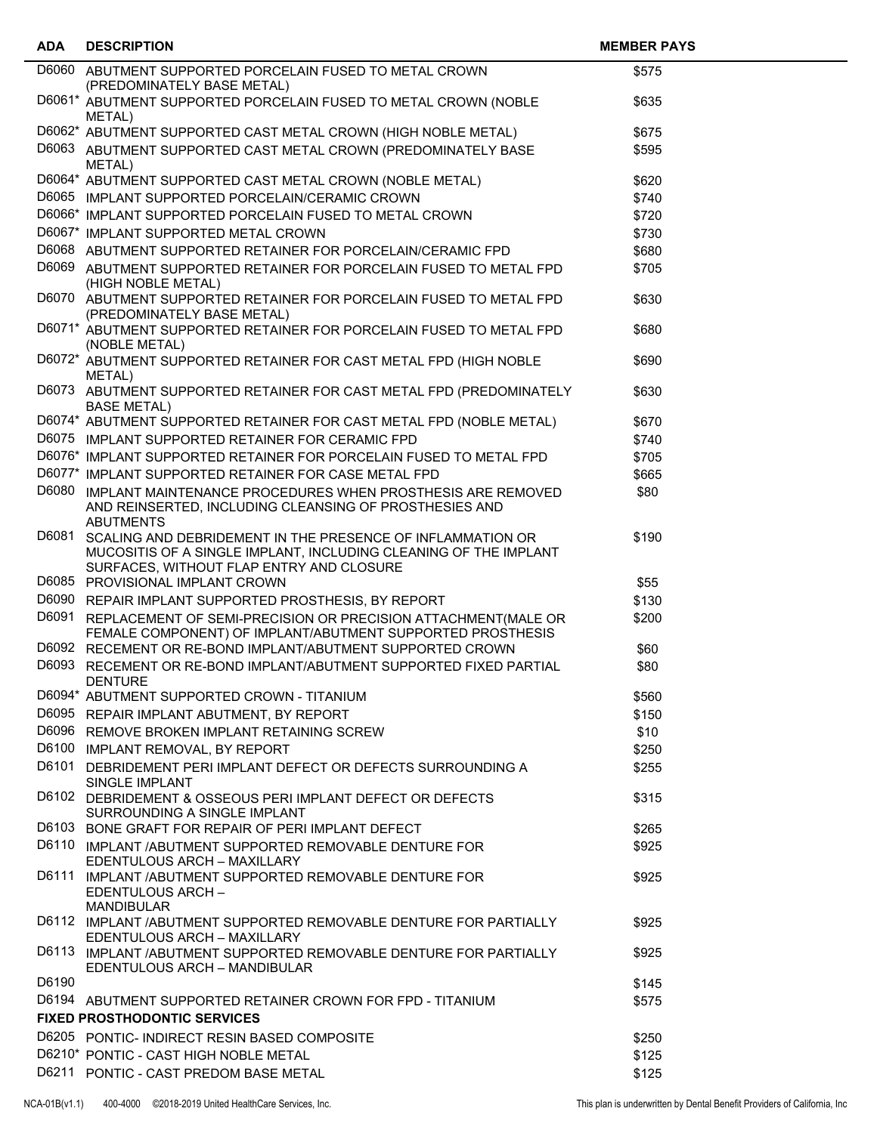| <b>ADA</b> | <b>DESCRIPTION</b>                                                                                                                                                                             | <b>MEMBER PAYS</b> |  |
|------------|------------------------------------------------------------------------------------------------------------------------------------------------------------------------------------------------|--------------------|--|
|            | D6060 ABUTMENT SUPPORTED PORCELAIN FUSED TO METAL CROWN<br>(PREDOMINATELY BASE METAL)                                                                                                          | \$575              |  |
|            | D6061* ABUTMENT SUPPORTED PORCELAIN FUSED TO METAL CROWN (NOBLE                                                                                                                                | \$635              |  |
|            | METAL)<br>D6062* ABUTMENT SUPPORTED CAST METAL CROWN (HIGH NOBLE METAL)                                                                                                                        | \$675              |  |
|            | D6063 ABUTMENT SUPPORTED CAST METAL CROWN (PREDOMINATELY BASE                                                                                                                                  | \$595              |  |
|            | METAL)<br>D6064* ABUTMENT SUPPORTED CAST METAL CROWN (NOBLE METAL)                                                                                                                             | \$620              |  |
|            | D6065 IMPLANT SUPPORTED PORCELAIN/CERAMIC CROWN                                                                                                                                                | \$740              |  |
|            | D6066* IMPLANT SUPPORTED PORCELAIN FUSED TO METAL CROWN                                                                                                                                        | \$720              |  |
|            | D6067* IMPLANT SUPPORTED METAL CROWN                                                                                                                                                           | \$730              |  |
|            | D6068 ABUTMENT SUPPORTED RETAINER FOR PORCELAIN/CERAMIC FPD                                                                                                                                    | \$680              |  |
|            | D6069 ABUTMENT SUPPORTED RETAINER FOR PORCELAIN FUSED TO METAL FPD<br>(HIGH NOBLE METAL)                                                                                                       | \$705              |  |
|            | D6070 ABUTMENT SUPPORTED RETAINER FOR PORCELAIN FUSED TO METAL FPD<br>(PREDOMINATELY BASE METAL)                                                                                               | \$630              |  |
|            | D6071* ABUTMENT SUPPORTED RETAINER FOR PORCELAIN FUSED TO METAL FPD                                                                                                                            | \$680              |  |
|            | (NOBLE METAL)<br>D6072* ABUTMENT SUPPORTED RETAINER FOR CAST METAL FPD (HIGH NOBLE<br>METAL)                                                                                                   | \$690              |  |
|            | D6073 ABUTMENT SUPPORTED RETAINER FOR CAST METAL FPD (PREDOMINATELY<br><b>BASE METAL)</b>                                                                                                      | \$630              |  |
|            | D6074* ABUTMENT SUPPORTED RETAINER FOR CAST METAL FPD (NOBLE METAL)                                                                                                                            | \$670              |  |
|            | D6075 IMPLANT SUPPORTED RETAINER FOR CERAMIC FPD                                                                                                                                               | \$740              |  |
|            | D6076* IMPLANT SUPPORTED RETAINER FOR PORCELAIN FUSED TO METAL FPD                                                                                                                             | \$705              |  |
|            | D6077* IMPLANT SUPPORTED RETAINER FOR CASE METAL FPD                                                                                                                                           | \$665              |  |
|            | D6080 IMPLANT MAINTENANCE PROCEDURES WHEN PROSTHESIS ARE REMOVED<br>AND REINSERTED, INCLUDING CLEANSING OF PROSTHESIES AND                                                                     | \$80               |  |
| D6081      | <b>ABUTMENTS</b><br>SCALING AND DEBRIDEMENT IN THE PRESENCE OF INFLAMMATION OR<br>MUCOSITIS OF A SINGLE IMPLANT, INCLUDING CLEANING OF THE IMPLANT<br>SURFACES, WITHOUT FLAP ENTRY AND CLOSURE | \$190              |  |
|            | D6085 PROVISIONAL IMPLANT CROWN                                                                                                                                                                | \$55               |  |
|            | D6090 REPAIR IMPLANT SUPPORTED PROSTHESIS, BY REPORT                                                                                                                                           | \$130              |  |
| D6091      | REPLACEMENT OF SEMI-PRECISION OR PRECISION ATTACHMENT (MALE OR<br>FEMALE COMPONENT) OF IMPLANT/ABUTMENT SUPPORTED PROSTHESIS                                                                   | \$200              |  |
|            | D6092 RECEMENT OR RE-BOND IMPLANT/ABUTMENT SUPPORTED CROWN                                                                                                                                     | \$60               |  |
| D6093      | RECEMENT OR RE-BOND IMPLANT/ABUTMENT SUPPORTED FIXED PARTIAL<br><b>DENTURE</b>                                                                                                                 | \$80               |  |
|            | D6094* ABUTMENT SUPPORTED CROWN - TITANIUM                                                                                                                                                     | \$560              |  |
|            | D6095 REPAIR IMPLANT ABUTMENT, BY REPORT                                                                                                                                                       | \$150              |  |
|            | D6096 REMOVE BROKEN IMPLANT RETAINING SCREW                                                                                                                                                    | \$10               |  |
|            | D6100 IMPLANT REMOVAL, BY REPORT                                                                                                                                                               | \$250              |  |
|            | D6101 DEBRIDEMENT PERI IMPLANT DEFECT OR DEFECTS SURROUNDING A<br>SINGLE IMPLANT                                                                                                               | \$255              |  |
|            | D6102 DEBRIDEMENT & OSSEOUS PERI IMPLANT DEFECT OR DEFECTS<br>SURROUNDING A SINGLE IMPLANT                                                                                                     | \$315              |  |
|            | D6103 BONE GRAFT FOR REPAIR OF PERI IMPLANT DEFECT                                                                                                                                             | \$265              |  |
|            | D6110 IMPLANT /ABUTMENT SUPPORTED REMOVABLE DENTURE FOR<br>EDENTULOUS ARCH - MAXILLARY                                                                                                         | \$925              |  |
|            | D6111 IMPLANT /ABUTMENT SUPPORTED REMOVABLE DENTURE FOR<br>EDENTULOUS ARCH-<br><b>MANDIBULAR</b>                                                                                               | \$925              |  |
|            | D6112 IMPLANT /ABUTMENT SUPPORTED REMOVABLE DENTURE FOR PARTIALLY<br>EDENTULOUS ARCH - MAXILLARY                                                                                               | \$925              |  |
|            | D6113 IMPLANT /ABUTMENT SUPPORTED REMOVABLE DENTURE FOR PARTIALLY<br>EDENTULOUS ARCH - MANDIBULAR                                                                                              | \$925              |  |
| D6190      |                                                                                                                                                                                                | \$145              |  |
|            | D6194 ABUTMENT SUPPORTED RETAINER CROWN FOR FPD - TITANIUM                                                                                                                                     | \$575              |  |
|            | <b>FIXED PROSTHODONTIC SERVICES</b>                                                                                                                                                            |                    |  |
|            | D6205 PONTIC- INDIRECT RESIN BASED COMPOSITE                                                                                                                                                   | \$250              |  |
|            | D6210* PONTIC - CAST HIGH NOBLE METAL                                                                                                                                                          | \$125              |  |
|            | D6211 PONTIC - CAST PREDOM BASE METAL                                                                                                                                                          | \$125              |  |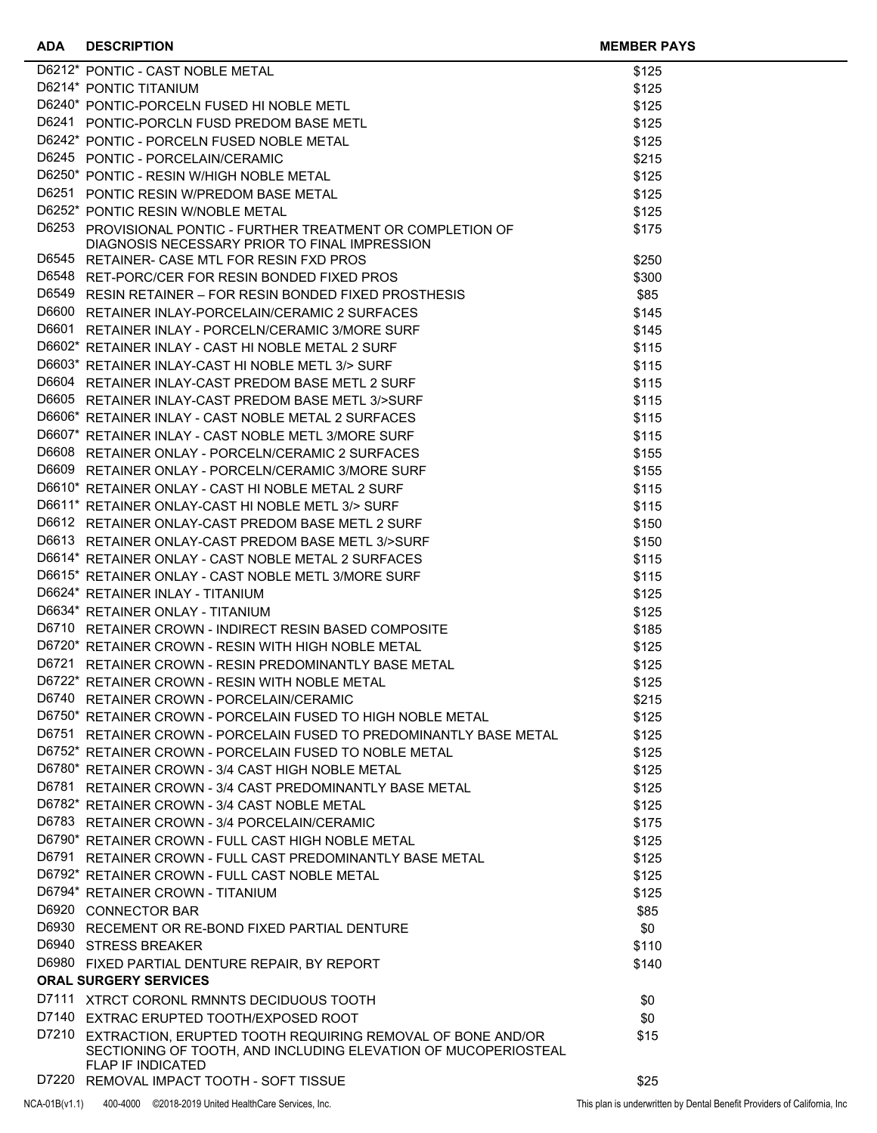#### **ADA DESCRIPTION MEMBER PAYS**

| D6212* PONTIC - CAST NOBLE METAL                                                                                                   | \$125 |
|------------------------------------------------------------------------------------------------------------------------------------|-------|
| D6214* PONTIC TITANIUM                                                                                                             | \$125 |
| D6240* PONTIC-PORCELN FUSED HI NOBLE METL                                                                                          | \$125 |
| D6241 PONTIC-PORCLN FUSD PREDOM BASE METL                                                                                          | \$125 |
| D6242* PONTIC - PORCELN FUSED NOBLE METAL                                                                                          | \$125 |
| D6245 PONTIC - PORCELAIN/CERAMIC                                                                                                   | \$215 |
| D6250* PONTIC - RESIN W/HIGH NOBLE METAL                                                                                           | \$125 |
| D6251 PONTIC RESIN W/PREDOM BASE METAL                                                                                             | \$125 |
| D6252* PONTIC RESIN W/NOBLE METAL                                                                                                  | \$125 |
| D6253 PROVISIONAL PONTIC - FURTHER TREATMENT OR COMPLETION OF                                                                      | \$175 |
| DIAGNOSIS NECESSARY PRIOR TO FINAL IMPRESSION                                                                                      |       |
| D6545 RETAINER- CASE MTL FOR RESIN FXD PROS                                                                                        | \$250 |
| D6548 RET-PORC/CER FOR RESIN BONDED FIXED PROS                                                                                     | \$300 |
| D6549 RESIN RETAINER - FOR RESIN BONDED FIXED PROSTHESIS                                                                           | \$85  |
| D6600 RETAINER INLAY-PORCELAIN/CERAMIC 2 SURFACES                                                                                  | \$145 |
| D6601 RETAINER INLAY - PORCELN/CERAMIC 3/MORE SURF                                                                                 | \$145 |
| D6602* RETAINER INLAY - CAST HI NOBLE METAL 2 SURF                                                                                 | \$115 |
| D6603* RETAINER INLAY-CAST HI NOBLE METL 3/> SURF                                                                                  | \$115 |
| D6604 RETAINER INLAY-CAST PREDOM BASE METL 2 SURF                                                                                  | \$115 |
| D6605 RETAINER INLAY-CAST PREDOM BASE METL 3/>SURF                                                                                 | \$115 |
| D6606* RETAINER INLAY - CAST NOBLE METAL 2 SURFACES                                                                                | \$115 |
| D6607* RETAINER INLAY - CAST NOBLE METL 3/MORE SURF                                                                                | \$115 |
| D6608 RETAINER ONLAY - PORCELN/CERAMIC 2 SURFACES                                                                                  | \$155 |
| D6609 RETAINER ONLAY - PORCELN/CERAMIC 3/MORE SURF                                                                                 | \$155 |
| D6610* RETAINER ONLAY - CAST HI NOBLE METAL 2 SURF                                                                                 | \$115 |
| D6611* RETAINER ONLAY-CAST HI NOBLE METL 3/> SURF                                                                                  | \$115 |
| D6612 RETAINER ONLAY-CAST PREDOM BASE METL 2 SURF                                                                                  | \$150 |
| D6613 RETAINER ONLAY-CAST PREDOM BASE METL 3/>SURF                                                                                 | \$150 |
| D6614* RETAINER ONLAY - CAST NOBLE METAL 2 SURFACES                                                                                | \$115 |
| D6615* RETAINER ONLAY - CAST NOBLE METL 3/MORE SURF                                                                                | \$115 |
| D6624* RETAINER INLAY - TITANIUM                                                                                                   | \$125 |
| D6634* RETAINER ONLAY - TITANIUM                                                                                                   | \$125 |
| D6710 RETAINER CROWN - INDIRECT RESIN BASED COMPOSITE                                                                              | \$185 |
| D6720* RETAINER CROWN - RESIN WITH HIGH NOBLE METAL                                                                                | \$125 |
| D6721 RETAINER CROWN - RESIN PREDOMINANTLY BASE METAL                                                                              | \$125 |
| D6722* RETAINER CROWN - RESIN WITH NOBLE METAL                                                                                     | \$125 |
| D6740 RETAINER CROWN - PORCELAIN/CERAMIC                                                                                           | \$215 |
| D6750* RETAINER CROWN - PORCELAIN FUSED TO HIGH NOBLE METAL                                                                        |       |
|                                                                                                                                    | \$125 |
| D6751 RETAINER CROWN - PORCELAIN FUSED TO PREDOMINANTLY BASE METAL                                                                 | \$125 |
| D6752* RETAINER CROWN - PORCELAIN FUSED TO NOBLE METAL                                                                             | \$125 |
| D6780* RETAINER CROWN - 3/4 CAST HIGH NOBLE METAL                                                                                  | \$125 |
| D6781 RETAINER CROWN - 3/4 CAST PREDOMINANTLY BASE METAL                                                                           | \$125 |
| D6782* RETAINER CROWN - 3/4 CAST NOBLE METAL                                                                                       | \$125 |
| D6783 RETAINER CROWN - 3/4 PORCELAIN/CERAMIC                                                                                       | \$175 |
| D6790* RETAINER CROWN - FULL CAST HIGH NOBLE METAL                                                                                 | \$125 |
| D6791 RETAINER CROWN - FULL CAST PREDOMINANTLY BASE METAL                                                                          | \$125 |
| D6792* RETAINER CROWN - FULL CAST NOBLE METAL                                                                                      | \$125 |
| D6794* RETAINER CROWN - TITANIUM                                                                                                   | \$125 |
| D6920 CONNECTOR BAR                                                                                                                | \$85  |
| D6930 RECEMENT OR RE-BOND FIXED PARTIAL DENTURE                                                                                    | \$0   |
| D6940 STRESS BREAKER                                                                                                               | \$110 |
| D6980 FIXED PARTIAL DENTURE REPAIR, BY REPORT                                                                                      | \$140 |
| <b>ORAL SURGERY SERVICES</b>                                                                                                       |       |
| D7111 XTRCT CORONL RMNNTS DECIDUOUS TOOTH                                                                                          | \$0   |
| D7140 EXTRAC ERUPTED TOOTH/EXPOSED ROOT                                                                                            | \$0   |
| D7210 EXTRACTION, ERUPTED TOOTH REQUIRING REMOVAL OF BONE AND/OR<br>SECTIONING OF TOOTH, AND INCLUDING ELEVATION OF MUCOPERIOSTEAL | \$15  |
| FLAP IF INDICATED<br>D7220 REMOVAL IMPACT TOOTH - SOFT TISSUE                                                                      | \$25  |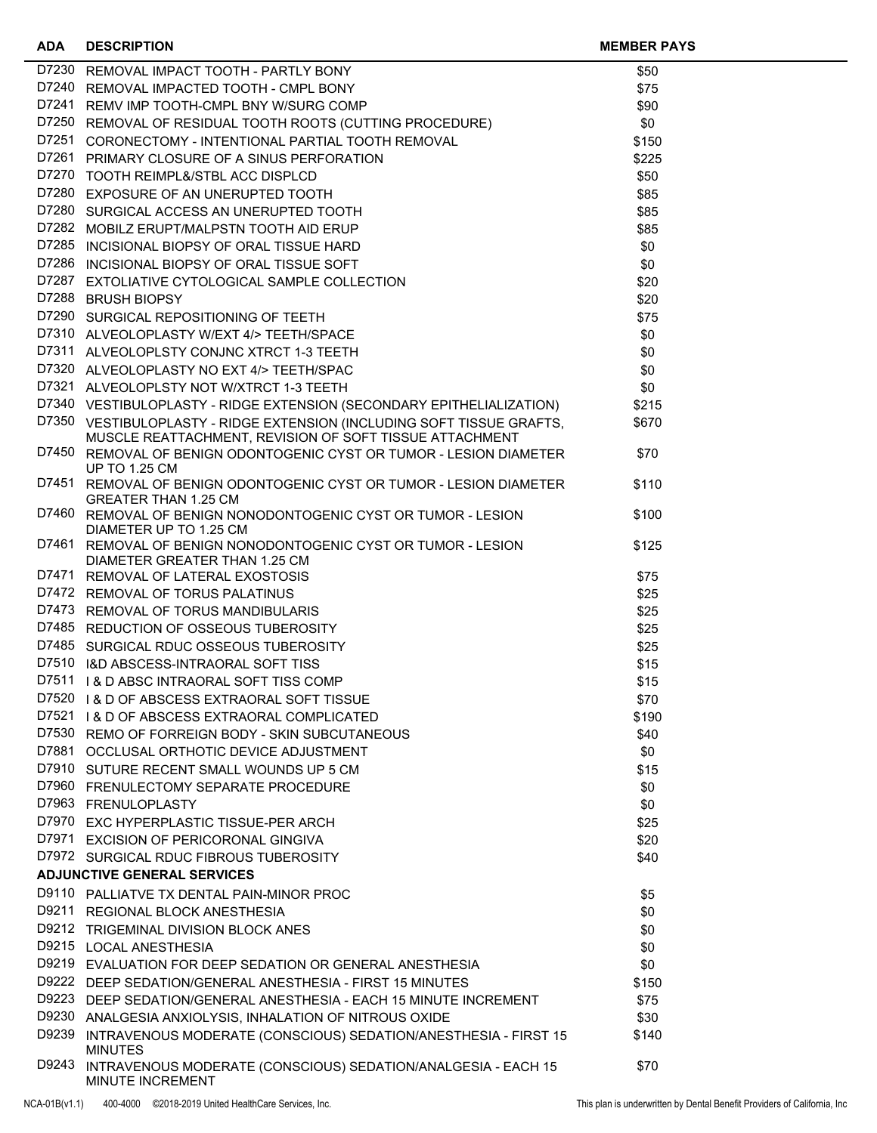| <b>ADA</b> | <b>DESCRIPTION</b>                                                                                                                | <b>MEMBER PAYS</b> |  |
|------------|-----------------------------------------------------------------------------------------------------------------------------------|--------------------|--|
|            | D7230 REMOVAL IMPACT TOOTH - PARTLY BONY                                                                                          | \$50               |  |
|            | D7240 REMOVAL IMPACTED TOOTH - CMPL BONY                                                                                          | \$75               |  |
|            | D7241 REMV IMP TOOTH-CMPL BNY W/SURG COMP                                                                                         | \$90               |  |
|            | D7250 REMOVAL OF RESIDUAL TOOTH ROOTS (CUTTING PROCEDURE)                                                                         | \$0                |  |
|            | D7251 CORONECTOMY - INTENTIONAL PARTIAL TOOTH REMOVAL                                                                             | \$150              |  |
|            | D7261 PRIMARY CLOSURE OF A SINUS PERFORATION                                                                                      | \$225              |  |
|            | D7270 TOOTH REIMPL&/STBL ACC DISPLCD                                                                                              | \$50               |  |
|            | D7280 EXPOSURE OF AN UNERUPTED TOOTH                                                                                              | \$85               |  |
|            | D7280 SURGICAL ACCESS AN UNERUPTED TOOTH                                                                                          | \$85               |  |
|            | D7282 MOBILZ ERUPT/MALPSTN TOOTH AID ERUP                                                                                         | \$85               |  |
|            | D7285 INCISIONAL BIOPSY OF ORAL TISSUE HARD                                                                                       | \$0                |  |
|            | D7286 INCISIONAL BIOPSY OF ORAL TISSUE SOFT                                                                                       | \$0                |  |
|            | D7287 EXTOLIATIVE CYTOLOGICAL SAMPLE COLLECTION                                                                                   | \$20               |  |
|            | D7288 BRUSH BIOPSY                                                                                                                | \$20               |  |
|            | D7290 SURGICAL REPOSITIONING OF TEETH                                                                                             | \$75               |  |
|            | D7310 ALVEOLOPLASTY W/EXT 4/> TEETH/SPACE                                                                                         | \$0                |  |
|            | D7311 ALVEOLOPLSTY CONJNC XTRCT 1-3 TEETH                                                                                         | \$0                |  |
|            | D7320 ALVEOLOPLASTY NO EXT 4/> TEETH/SPAC                                                                                         | \$0                |  |
|            | D7321 ALVEOLOPLSTY NOT W/XTRCT 1-3 TEETH                                                                                          | \$0                |  |
|            | D7340 VESTIBULOPLASTY - RIDGE EXTENSION (SECONDARY EPITHELIALIZATION)                                                             | \$215              |  |
|            | D7350 VESTIBULOPLASTY - RIDGE EXTENSION (INCLUDING SOFT TISSUE GRAFTS,<br>MUSCLE REATTACHMENT, REVISION OF SOFT TISSUE ATTACHMENT | \$670              |  |
|            | D7450 REMOVAL OF BENIGN ODONTOGENIC CYST OR TUMOR - LESION DIAMETER<br><b>UP TO 1.25 CM</b>                                       | \$70               |  |
|            | D7451 REMOVAL OF BENIGN ODONTOGENIC CYST OR TUMOR - LESION DIAMETER<br><b>GREATER THAN 1.25 CM</b>                                | \$110              |  |
|            | D7460 REMOVAL OF BENIGN NONODONTOGENIC CYST OR TUMOR - LESION<br>DIAMETER UP TO 1.25 CM                                           | \$100              |  |
|            | D7461 REMOVAL OF BENIGN NONODONTOGENIC CYST OR TUMOR - LESION<br>DIAMETER GREATER THAN 1.25 CM                                    | \$125              |  |
|            | D7471 REMOVAL OF LATERAL EXOSTOSIS                                                                                                | \$75               |  |
|            | D7472 REMOVAL OF TORUS PALATINUS                                                                                                  | \$25               |  |
|            | D7473 REMOVAL OF TORUS MANDIBULARIS                                                                                               | \$25               |  |
|            | D7485 REDUCTION OF OSSEOUS TUBEROSITY                                                                                             | \$25               |  |
|            | D7485 SURGICAL RDUC OSSEOUS TUBEROSITY                                                                                            | \$25               |  |
|            | D7510 I&D ABSCESS-INTRAORAL SOFT TISS                                                                                             | \$15               |  |
|            | D7511 I & D ABSC INTRAORAL SOFT TISS COMP                                                                                         | \$15               |  |
|            | D7520 I & D OF ABSCESS EXTRAORAL SOFT TISSUE                                                                                      | \$70               |  |
|            | D7521 I & D OF ABSCESS EXTRAORAL COMPLICATED<br>D7530 REMO OF FORREIGN BODY - SKIN SUBCUTANEOUS                                   | \$190              |  |
|            | D7881 OCCLUSAL ORTHOTIC DEVICE ADJUSTMENT                                                                                         | \$40               |  |
|            | D7910 SUTURE RECENT SMALL WOUNDS UP 5 CM                                                                                          | \$0                |  |
|            | D7960 FRENULECTOMY SEPARATE PROCEDURE                                                                                             | \$15<br>\$0        |  |
|            | D7963 FRENULOPLASTY                                                                                                               | \$0                |  |
|            | D7970 EXC HYPERPLASTIC TISSUE-PER ARCH                                                                                            | \$25               |  |
|            | D7971 EXCISION OF PERICORONAL GINGIVA                                                                                             | \$20               |  |
|            | D7972 SURGICAL RDUC FIBROUS TUBEROSITY                                                                                            | \$40               |  |
|            | <b>ADJUNCTIVE GENERAL SERVICES</b>                                                                                                |                    |  |
|            | D9110 PALLIATVE TX DENTAL PAIN-MINOR PROC                                                                                         | \$5                |  |
|            | D9211 REGIONAL BLOCK ANESTHESIA                                                                                                   | \$0                |  |
|            | D9212 TRIGEMINAL DIVISION BLOCK ANES                                                                                              | \$0                |  |
|            | D9215 LOCAL ANESTHESIA                                                                                                            | \$0                |  |
|            | D9219 EVALUATION FOR DEEP SEDATION OR GENERAL ANESTHESIA                                                                          | \$0                |  |
|            | D9222 DEEP SEDATION/GENERAL ANESTHESIA - FIRST 15 MINUTES                                                                         | \$150              |  |
|            | D9223 DEEP SEDATION/GENERAL ANESTHESIA - EACH 15 MINUTE INCREMENT                                                                 | \$75               |  |
|            | D9230 ANALGESIA ANXIOLYSIS, INHALATION OF NITROUS OXIDE                                                                           | \$30               |  |
|            | D9239 INTRAVENOUS MODERATE (CONSCIOUS) SEDATION/ANESTHESIA - FIRST 15<br><b>MINUTES</b>                                           | \$140              |  |
| D9243      | INTRAVENOUS MODERATE (CONSCIOUS) SEDATION/ANALGESIA - EACH 15<br>MINUTE INCREMENT                                                 | \$70               |  |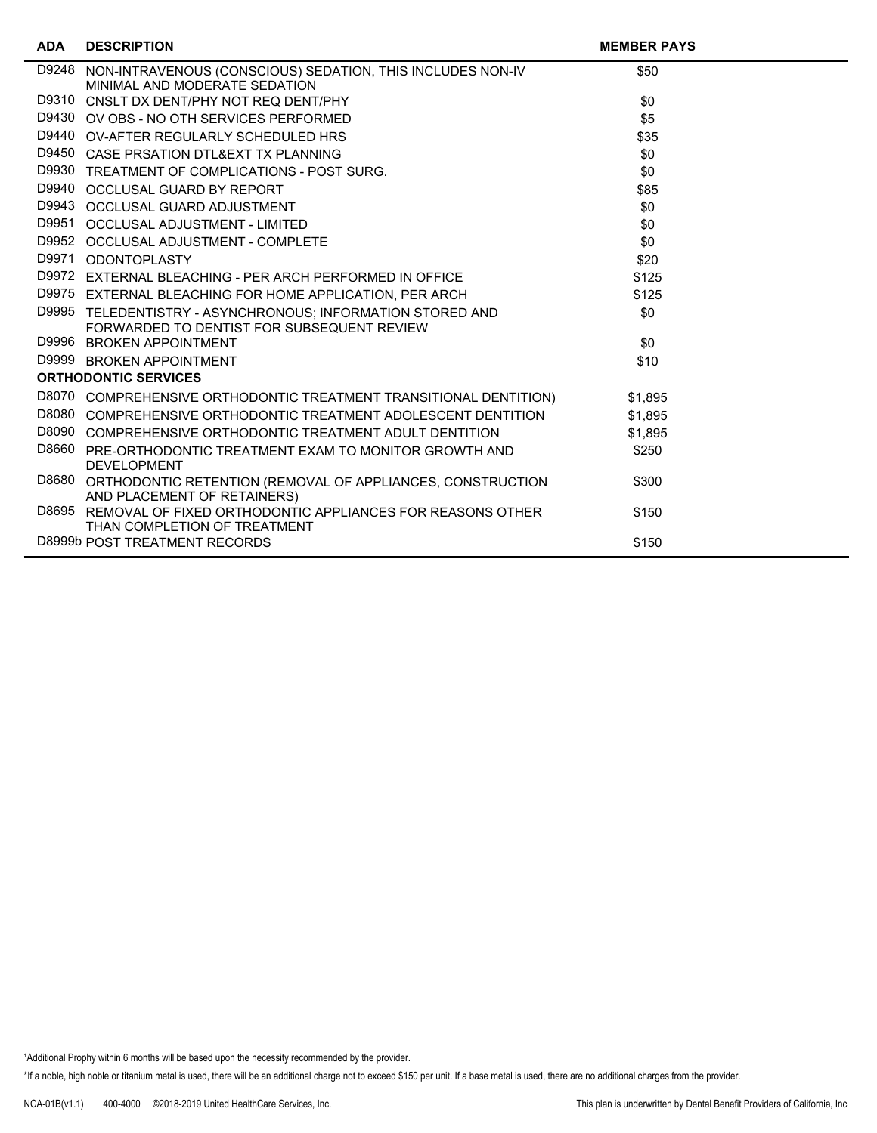| <b>ADA</b> | <b>DESCRIPTION</b>                                                                                       | <b>MEMBER PAYS</b> |  |
|------------|----------------------------------------------------------------------------------------------------------|--------------------|--|
| D9248      | NON-INTRAVENOUS (CONSCIOUS) SEDATION, THIS INCLUDES NON-IV<br>MINIMAL AND MODERATE SEDATION              | \$50               |  |
| D9310      | CNSLT DX DENT/PHY NOT REQ DENT/PHY                                                                       | \$0                |  |
|            | D9430 OV OBS - NO OTH SERVICES PERFORMED                                                                 | \$5                |  |
|            | D9440 OV-AFTER REGULARLY SCHEDULED HRS                                                                   | \$35               |  |
| D9450      | CASE PRSATION DTL&EXT TX PLANNING                                                                        | \$0                |  |
|            | D9930 TREATMENT OF COMPLICATIONS - POST SURG.                                                            | \$0                |  |
| D9940      | OCCLUSAL GUARD BY REPORT                                                                                 | \$85               |  |
| D9943      | OCCLUSAL GUARD ADJUSTMENT                                                                                | \$0                |  |
| D9951      | OCCLUSAL ADJUSTMENT - LIMITED                                                                            | \$0                |  |
| D9952      | <b>OCCLUSAL ADJUSTMENT - COMPLETE</b>                                                                    | \$0                |  |
| D9971      | <b>ODONTOPLASTY</b>                                                                                      | \$20               |  |
| D9972      | EXTERNAL BLEACHING - PER ARCH PERFORMED IN OFFICE                                                        | \$125              |  |
|            | D9975 EXTERNAL BLEACHING FOR HOME APPLICATION, PER ARCH                                                  | \$125              |  |
|            | D9995 TELEDENTISTRY - ASYNCHRONOUS; INFORMATION STORED AND<br>FORWARDED TO DENTIST FOR SUBSEQUENT REVIEW | \$0                |  |
|            | D9996 BROKEN APPOINTMENT                                                                                 | \$0                |  |
| D9999      | <b>BROKEN APPOINTMENT</b>                                                                                | \$10               |  |
|            | <b>ORTHODONTIC SERVICES</b>                                                                              |                    |  |
|            | D8070 COMPREHENSIVE ORTHODONTIC TREATMENT TRANSITIONAL DENTITION)                                        | \$1,895            |  |
|            | D8080 COMPREHENSIVE ORTHODONTIC TREATMENT ADOLESCENT DENTITION                                           | \$1.895            |  |
|            | D8090 COMPREHENSIVE ORTHODONTIC TREATMENT ADULT DENTITION                                                | \$1,895            |  |
|            | D8660 PRE-ORTHODONTIC TREATMENT EXAM TO MONITOR GROWTH AND<br><b>DEVELOPMENT</b>                         | \$250              |  |
| D8680      | ORTHODONTIC RETENTION (REMOVAL OF APPLIANCES, CONSTRUCTION<br>AND PLACEMENT OF RETAINERS)                | \$300              |  |
| D8695      | REMOVAL OF FIXED ORTHODONTIC APPLIANCES FOR REASONS OTHER<br>THAN COMPLETION OF TREATMENT                | \$150              |  |
|            | D8999b POST TREATMENT RECORDS                                                                            | \$150              |  |

<sup>1</sup>Additional Prophy within 6 months will be based upon the necessity recommended by the provider.

\*If a noble, high noble or titanium metal is used, there will be an additional charge not to exceed \$150 per unit. If a base metal is used, there are no additional charges from the provider.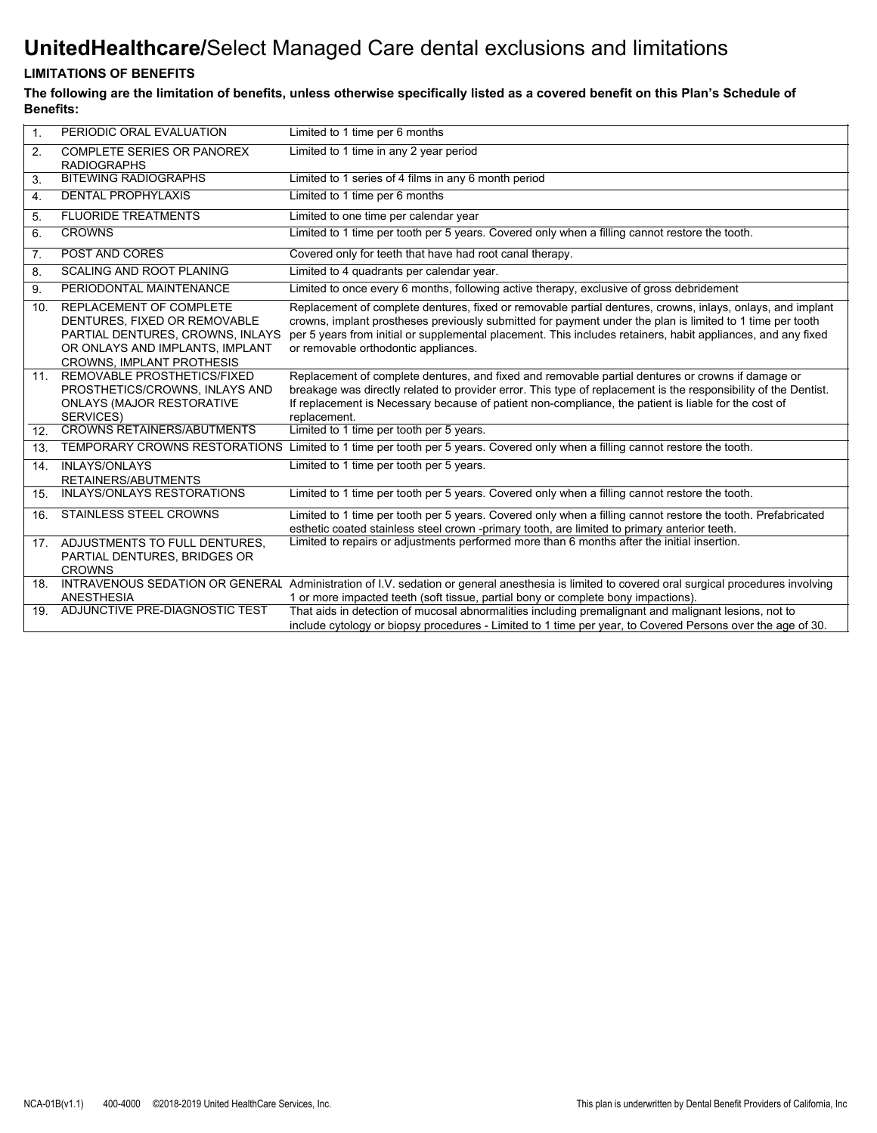# **UnitedHealthcare/**Select Managed Care dental exclusions and limitations

## **LIMITATIONS OF BENEFITS**

**The following are the limitation of benefits, unless otherwise specifically listed as a covered benefit on this Plan's Schedule of Benefits:**

| 1 <sub>1</sub>   | PERIODIC ORAL EVALUATION                                                                                                                                           | Limited to 1 time per 6 months                                                                                                                                                                                                                                                                                                                                                  |
|------------------|--------------------------------------------------------------------------------------------------------------------------------------------------------------------|---------------------------------------------------------------------------------------------------------------------------------------------------------------------------------------------------------------------------------------------------------------------------------------------------------------------------------------------------------------------------------|
| 2.               | COMPLETE SERIES OR PANOREX<br><b>RADIOGRAPHS</b>                                                                                                                   | Limited to 1 time in any 2 year period                                                                                                                                                                                                                                                                                                                                          |
| 3.               | <b>BITEWING RADIOGRAPHS</b>                                                                                                                                        | Limited to 1 series of 4 films in any 6 month period                                                                                                                                                                                                                                                                                                                            |
| $\overline{4}$ . | <b>DENTAL PROPHYLAXIS</b>                                                                                                                                          | Limited to 1 time per 6 months                                                                                                                                                                                                                                                                                                                                                  |
| 5.               | <b>FLUORIDE TREATMENTS</b>                                                                                                                                         | Limited to one time per calendar year                                                                                                                                                                                                                                                                                                                                           |
| 6.               | <b>CROWNS</b>                                                                                                                                                      | Limited to 1 time per tooth per 5 years. Covered only when a filling cannot restore the tooth.                                                                                                                                                                                                                                                                                  |
| 7.               | POST AND CORES                                                                                                                                                     | Covered only for teeth that have had root canal therapy.                                                                                                                                                                                                                                                                                                                        |
| 8.               | <b>SCALING AND ROOT PLANING</b>                                                                                                                                    | Limited to 4 quadrants per calendar year.                                                                                                                                                                                                                                                                                                                                       |
| 9.               | PERIODONTAL MAINTENANCE                                                                                                                                            | Limited to once every 6 months, following active therapy, exclusive of gross debridement                                                                                                                                                                                                                                                                                        |
| 10.              | REPLACEMENT OF COMPLETE<br>DENTURES, FIXED OR REMOVABLE<br>PARTIAL DENTURES, CROWNS, INLAYS<br>OR ONLAYS AND IMPLANTS, IMPLANT<br><b>CROWNS. IMPLANT PROTHESIS</b> | Replacement of complete dentures, fixed or removable partial dentures, crowns, inlays, onlays, and implant<br>crowns, implant prostheses previously submitted for payment under the plan is limited to 1 time per tooth<br>per 5 years from initial or supplemental placement. This includes retainers, habit appliances, and any fixed<br>or removable orthodontic appliances. |
|                  | 11. REMOVABLE PROSTHETICS/FIXED<br>PROSTHETICS/CROWNS, INLAYS AND<br><b>ONLAYS (MAJOR RESTORATIVE</b><br><b>SERVICES)</b>                                          | Replacement of complete dentures, and fixed and removable partial dentures or crowns if damage or<br>breakage was directly related to provider error. This type of replacement is the responsibility of the Dentist.<br>If replacement is Necessary because of patient non-compliance, the patient is liable for the cost of<br>replacement.                                    |
|                  | 12. CROWNS RETAINERS/ABUTMENTS                                                                                                                                     | Limited to 1 time per tooth per 5 years.                                                                                                                                                                                                                                                                                                                                        |
| 13.              |                                                                                                                                                                    | TEMPORARY CROWNS RESTORATIONS Limited to 1 time per tooth per 5 years. Covered only when a filling cannot restore the tooth.                                                                                                                                                                                                                                                    |
| 14.              | <b>INLAYS/ONLAYS</b><br>RETAINERS/ABUTMENTS                                                                                                                        | Limited to 1 time per tooth per 5 years.                                                                                                                                                                                                                                                                                                                                        |
| 15.              | <b>INLAYS/ONLAYS RESTORATIONS</b>                                                                                                                                  | Limited to 1 time per tooth per 5 years. Covered only when a filling cannot restore the tooth.                                                                                                                                                                                                                                                                                  |
| 16.              | <b>STAINLESS STEEL CROWNS</b>                                                                                                                                      | Limited to 1 time per tooth per 5 years. Covered only when a filling cannot restore the tooth. Prefabricated<br>esthetic coated stainless steel crown -primary tooth, are limited to primary anterior teeth.                                                                                                                                                                    |
|                  | 17. ADJUSTMENTS TO FULL DENTURES,<br>PARTIAL DENTURES, BRIDGES OR<br><b>CROWNS</b>                                                                                 | Limited to repairs or adjustments performed more than 6 months after the initial insertion.                                                                                                                                                                                                                                                                                     |
| 18.              | ANESTHESIA                                                                                                                                                         | INTRAVENOUS SEDATION OR GENERAL Administration of I.V. sedation or general anesthesia is limited to covered oral surgical procedures involving<br>1 or more impacted teeth (soft tissue, partial bony or complete bony impactions).                                                                                                                                             |
| 19.              | ADJUNCTIVE PRE-DIAGNOSTIC TEST                                                                                                                                     | That aids in detection of mucosal abnormalities including premalignant and malignant lesions, not to<br>include cytology or biopsy procedures - Limited to 1 time per year, to Covered Persons over the age of 30.                                                                                                                                                              |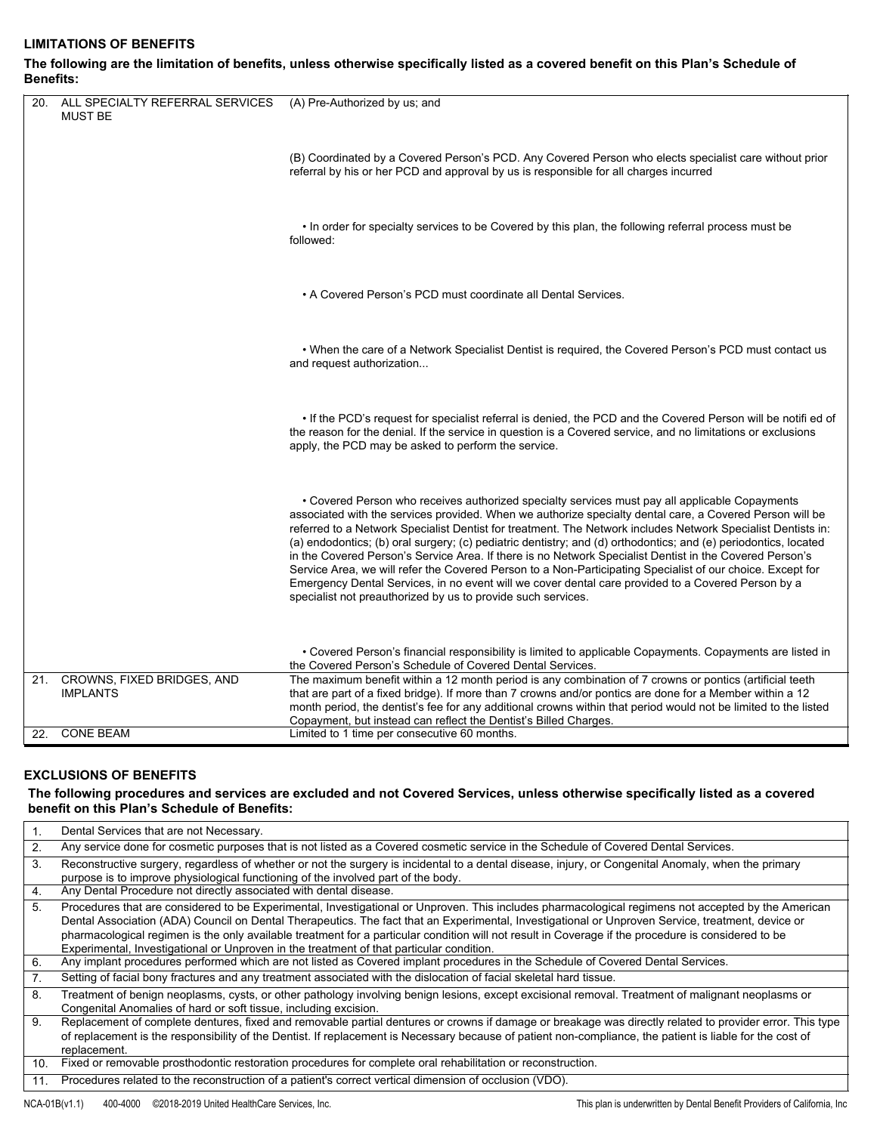### **LIMITATIONS OF BENEFITS**

#### **The following are the limitation of benefits, unless otherwise specifically listed as a covered benefit on this Plan's Schedule of Benefits:**

| 20. | ALL SPECIALTY REFERRAL SERVICES<br><b>MUST BE</b> | (A) Pre-Authorized by us; and                                                                                                                                                                                                                                                                                                                                                                                                                                                                                                                                                                                                                                                                                                                                                                                                                |
|-----|---------------------------------------------------|----------------------------------------------------------------------------------------------------------------------------------------------------------------------------------------------------------------------------------------------------------------------------------------------------------------------------------------------------------------------------------------------------------------------------------------------------------------------------------------------------------------------------------------------------------------------------------------------------------------------------------------------------------------------------------------------------------------------------------------------------------------------------------------------------------------------------------------------|
|     |                                                   | (B) Coordinated by a Covered Person's PCD. Any Covered Person who elects specialist care without prior<br>referral by his or her PCD and approval by us is responsible for all charges incurred                                                                                                                                                                                                                                                                                                                                                                                                                                                                                                                                                                                                                                              |
|     |                                                   | . In order for specialty services to be Covered by this plan, the following referral process must be<br>followed:                                                                                                                                                                                                                                                                                                                                                                                                                                                                                                                                                                                                                                                                                                                            |
|     |                                                   | • A Covered Person's PCD must coordinate all Dental Services.                                                                                                                                                                                                                                                                                                                                                                                                                                                                                                                                                                                                                                                                                                                                                                                |
|     |                                                   | . When the care of a Network Specialist Dentist is required, the Covered Person's PCD must contact us<br>and request authorization                                                                                                                                                                                                                                                                                                                                                                                                                                                                                                                                                                                                                                                                                                           |
|     |                                                   | . If the PCD's request for specialist referral is denied, the PCD and the Covered Person will be notifi ed of<br>the reason for the denial. If the service in question is a Covered service, and no limitations or exclusions<br>apply, the PCD may be asked to perform the service.                                                                                                                                                                                                                                                                                                                                                                                                                                                                                                                                                         |
|     |                                                   | • Covered Person who receives authorized specialty services must pay all applicable Copayments<br>associated with the services provided. When we authorize specialty dental care, a Covered Person will be<br>referred to a Network Specialist Dentist for treatment. The Network includes Network Specialist Dentists in:<br>(a) endodontics; (b) oral surgery; (c) pediatric dentistry; and (d) orthodontics; and (e) periodontics, located<br>in the Covered Person's Service Area. If there is no Network Specialist Dentist in the Covered Person's<br>Service Area, we will refer the Covered Person to a Non-Participating Specialist of our choice. Except for<br>Emergency Dental Services, in no event will we cover dental care provided to a Covered Person by a<br>specialist not preauthorized by us to provide such services. |
|     |                                                   | • Covered Person's financial responsibility is limited to applicable Copayments. Copayments are listed in<br>the Covered Person's Schedule of Covered Dental Services.                                                                                                                                                                                                                                                                                                                                                                                                                                                                                                                                                                                                                                                                       |
|     | 21. CROWNS, FIXED BRIDGES, AND<br><b>IMPLANTS</b> | The maximum benefit within a 12 month period is any combination of 7 crowns or pontics (artificial teeth<br>that are part of a fixed bridge). If more than 7 crowns and/or pontics are done for a Member within a 12<br>month period, the dentist's fee for any additional crowns within that period would not be limited to the listed<br>Copayment, but instead can reflect the Dentist's Billed Charges.                                                                                                                                                                                                                                                                                                                                                                                                                                  |
| 22. | <b>CONE BEAM</b>                                  | Limited to 1 time per consecutive 60 months.                                                                                                                                                                                                                                                                                                                                                                                                                                                                                                                                                                                                                                                                                                                                                                                                 |

#### **EXCLUSIONS OF BENEFITS**

#### **The following procedures and services are excluded and not Covered Services, unless otherwise specifically listed as a covered benefit on this Plan's Schedule of Benefits:**

|                  | Dental Services that are not Necessary.                                                                                                                                                                                                  |
|------------------|------------------------------------------------------------------------------------------------------------------------------------------------------------------------------------------------------------------------------------------|
| 2.               | Any service done for cosmetic purposes that is not listed as a Covered cosmetic service in the Schedule of Covered Dental Services.                                                                                                      |
| 3.               | Reconstructive surgery, regardless of whether or not the surgery is incidental to a dental disease, injury, or Congenital Anomaly, when the primary<br>purpose is to improve physiological functioning of the involved part of the body. |
| 4.               | Any Dental Procedure not directly associated with dental disease.                                                                                                                                                                        |
| 5.               | Procedures that are considered to be Experimental, Investigational or Unproven. This includes pharmacological regimens not accepted by the American                                                                                      |
|                  | Dental Association (ADA) Council on Dental Therapeutics. The fact that an Experimental, Investigational or Unproven Service, treatment, device or                                                                                        |
|                  | pharmacological regimen is the only available treatment for a particular condition will not result in Coverage if the procedure is considered to be                                                                                      |
|                  | Experimental, Investigational or Unproven in the treatment of that particular condition.                                                                                                                                                 |
| 6.               | Any implant procedures performed which are not listed as Covered implant procedures in the Schedule of Covered Dental Services.                                                                                                          |
| $\overline{7}$ . | Setting of facial bony fractures and any treatment associated with the dislocation of facial skeletal hard tissue.                                                                                                                       |
| 8.               | Treatment of benign neoplasms, cysts, or other pathology involving benign lesions, except excisional removal. Treatment of malignant neoplasms or<br>Congenital Anomalies of hard or soft tissue, including excision.                    |
| 9.               | Replacement of complete dentures, fixed and removable partial dentures or crowns if damage or breakage was directly related to provider error. This type                                                                                 |
|                  | of replacement is the responsibility of the Dentist. If replacement is Necessary because of patient non-compliance, the patient is liable for the cost of                                                                                |
|                  | replacement.                                                                                                                                                                                                                             |
| 10.              | Fixed or removable prosthodontic restoration procedures for complete oral rehabilitation or reconstruction.                                                                                                                              |
| 11.              | Procedures related to the reconstruction of a patient's correct vertical dimension of occlusion (VDO).                                                                                                                                   |
|                  |                                                                                                                                                                                                                                          |